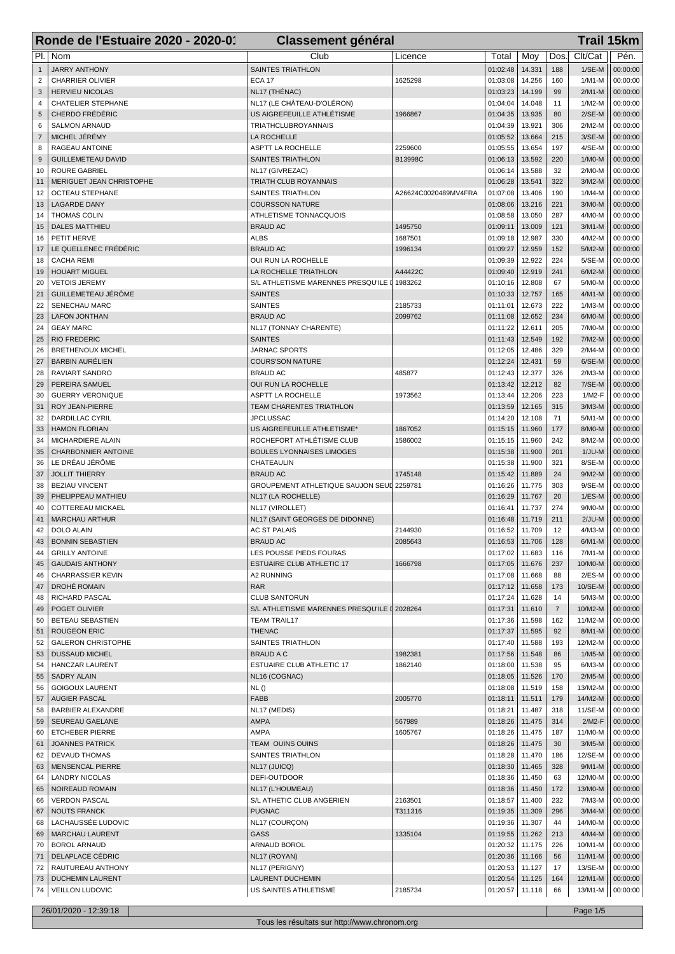|                | Ronde de l'Estuaire 2020 - 2020-01<br><b>Classement général</b> |                                            |                      |                      |                  |                | <b>Trail 15km</b>   |                      |
|----------------|-----------------------------------------------------------------|--------------------------------------------|----------------------|----------------------|------------------|----------------|---------------------|----------------------|
|                | PI.   Nom                                                       | Club                                       | Licence              | Total                | Moy              | Dos.           | Clt/Cat             | Pén.                 |
| $\mathbf{1}$   | <b>JARRY ANTHONY</b>                                            | <b>SAINTES TRIATHLON</b>                   |                      | 01:02:48             | 14.331           | 188            | $1/SE-M$            | 00:00:00             |
| $\overline{2}$ | <b>CHARRIER OLIVIER</b>                                         | <b>ECA 17</b>                              | 1625298              | 01:03:08             | 14.256           | 160            | $1/M1-M$            | 00:00:00             |
| 3              | <b>HERVIEU NICOLAS</b>                                          | NL17 (THÉNAC)                              |                      | 01:03:23             | 14.199           | 99             | $2/M1-M$            | 00:00:00             |
| 4              | <b>CHATELIER STEPHANE</b>                                       | NL17 (LE CHÂTEAU-D'OLÉRON)                 |                      | 01:04:04             | 14.048           | 11             | $1/M2-M$            | 00:00:00             |
| 5              | CHERDO FRÉDÉRIC                                                 | US AIGREFEUILLE ATHLÉTISME                 | 1966867              | 01:04:35             | 13.935           | 80             | $2/SE-M$            | 00:00:00             |
| 6              | <b>SALMON ARNAUD</b>                                            | <b>TRIATHCLUBROYANNAIS</b>                 |                      | 01:04:39             | 13.921           | 306            | $2/M2-M$            | 00:00:00             |
| $\overline{7}$ | MICHEL JÉRÉMY                                                   | LA ROCHELLE                                |                      | 01:05:52             | 13.664           | 215            | $3/SE-M$            | 00:00:00             |
| 8              | RAGEAU ANTOINE                                                  | ASPTT LA ROCHELLE                          | 2259600              | 01:05:55             | 13.654           | 197            | 4/SE-M              | 00:00:00             |
| 9              | <b>GUILLEMETEAU DAVID</b>                                       | <b>SAINTES TRIATHLON</b>                   | B13998C              | 01:06:13             | 13.592<br>13.588 | 220            | $1/MO-M$            | 00:00:00             |
| 10<br>11       | <b>ROURE GABRIEL</b><br>MERIGUET JEAN CHRISTOPHE                | NL17 (GIVREZAC)<br>TRIATH CLUB ROYANNAIS   |                      | 01:06:14<br>01:06:28 | 13.541           | 32<br>322      | 2/M0-M<br>$3/M2-M$  | 00:00:00<br>00:00:00 |
| 12             | <b>OCTEAU STEPHANE</b>                                          | <b>SAINTES TRIATHLON</b>                   | A26624C0020489MV4FRA | 01:07:08             | 13.406           | 190            | $1/M4-M$            | 00:00:00             |
| 13             | <b>LAGARDE DANY</b>                                             | <b>COURSSON NATURE</b>                     |                      | 01:08:06             | 13.216           | 221            | 3/M0-M              | 00:00:00             |
| 14             | <b>THOMAS COLIN</b>                                             | ATHLETISME TONNACQUOIS                     |                      | 01:08:58             | 13.050           | 287            | 4/M0-M              | 00:00:00             |
| 15             | <b>DALES MATTHIEU</b>                                           | <b>BRAUD AC</b>                            | 1495750              | 01:09:11             | 13.009           | 121            | $3/M1-M$            | 00:00:00             |
| 16             | PETIT HERVE                                                     | <b>ALBS</b>                                | 1687501              | 01:09:18             | 12.987           | 330            | 4/M2-M              | 00:00:00             |
| 17             | LE QUELLENEC FRÉDÉRIC                                           | <b>BRAUD AC</b>                            | 1996134              | 01:09:27             | 12.959           | 152            | 5/M2-M              | 00:00:00             |
| 18             | <b>CACHA REMI</b>                                               | OUI RUN LA ROCHELLE                        |                      | 01:09:39             | 12.922           | 224            | $5/SE-M$            | 00:00:00             |
| 19             | <b>HOUART MIGUEL</b>                                            | LA ROCHELLE TRIATHLON                      | A44422C              | 01:09:40             | 12.919           | 241            | $6/M2-M$            | 00:00:00             |
| 20             | <b>VETOIS JEREMY</b>                                            | S/L ATHLETISME MARENNES PRESQU'ILE         | 1983262              | 01:10:16             | 12.808           | 67             | 5/M0-M              | 00:00:00             |
| 21             | GUILLEMETEAU JÉRÔME                                             | <b>SAINTES</b>                             |                      | 01:10:33             | 12.757           | 165            | $4/M1-M$            | 00:00:00             |
| 22             | SENECHAU MARC                                                   | <b>SAINTES</b>                             | 2185733              | 01:11:01             | 12.673           | 222            | $1/M3-M$            | 00:00:00             |
| 23             | <b>LAFON JONTHAN</b>                                            | <b>BRAUD AC</b>                            | 2099762              | 01:11:08             | 12.652           | 234            | 6/M0-M              | 00:00:00             |
| 24             | <b>GEAY MARC</b>                                                | NL17 (TONNAY CHARENTE)                     |                      | 01:11:22             | 12.611           | 205            | 7/M0-M              | 00:00:00             |
| 25             | <b>RIO FREDERIC</b>                                             | <b>SAINTES</b>                             |                      | 01:11:43             | 12.549           | 192            | 7/M2-M              | 00:00:00             |
| 26             | <b>BRETHENOUX MICHEL</b><br><b>BARBIN AURÉLIEN</b>              | <b>JARNAC SPORTS</b>                       |                      | 01:12:05             | 12.486           | 329<br>59      | $2/M4-M$            | 00:00:00             |
| 27<br>28       | RAVIART SANDRO                                                  | <b>COURS'SON NATURE</b><br><b>BRAUD AC</b> | 485877               | 01:12:24<br>01:12:43 | 12.431<br>12.377 | 326            | 6/SE-M<br>$2/M3-M$  | 00:00:00<br>00:00:00 |
| 29             | PEREIRA SAMUEL                                                  | OUI RUN LA ROCHELLE                        |                      | 01:13:42             | 12.212           | 82             | 7/SE-M              | 00:00:00             |
| 30             | <b>GUERRY VERONIQUE</b>                                         | ASPTT LA ROCHELLE                          | 1973562              | 01:13:44             | 12.206           | 223            | 1/M2-F              | 00:00:00             |
| 31             | ROY JEAN-PIERRE                                                 | TEAM CHARENTES TRIATHLON                   |                      | 01:13:59             | 12.165           | 315            | $3/M3-M$            | 00:00:00             |
| 32             | <b>DARDILLAC CYRIL</b>                                          | <b>JPCLUSSAC</b>                           |                      | 01:14:20             | 12.108           | 71             | $5/M1-M$            | 00:00:00             |
| 33             | <b>HAMON FLORIAN</b>                                            | US AIGREFEUILLE ATHLETISME*                | 1867052              | 01:15:15             | 11.960           | 177            | 8/M0-M              | 00:00:00             |
| 34             | MICHARDIERE ALAIN                                               | ROCHEFORT ATHLÉTISME CLUB                  | 1586002              | 01:15:15             | 11.960           | 242            | 8/M2-M              | 00:00:00             |
| 35             | <b>CHARBONNIER ANTOINE</b>                                      | <b>BOULES LYONNAISES LIMOGES</b>           |                      | 01:15:38             | 11.900           | 201            | $1/JU-M$            | 00:00:00             |
| 36             | LE DRÉAU JÉRÔME                                                 | CHATEAULIN                                 |                      | 01:15:38             | 11.900           | 321            | 8/SE-M              | 00:00:00             |
| 37             | <b>JOLLIT THIERRY</b>                                           | <b>BRAUD AC</b>                            | 1745148              | 01:15:42             | 11.889           | 24             | $9/M2-M$            | 00:00:00             |
| 38             | <b>BEZIAU VINCENT</b>                                           | <b>GROUPEMENT ATHLETIQUE SAUJON SEUD</b>   | 2259781              | 01:16:26             | 11.775           | 303            | $9/SE-M$            | 00:00:00             |
| 39             | PHELIPPEAU MATHIEU                                              | NL17 (LA ROCHELLE)                         |                      | 01:16:29             | 11.767           | 20             | $1/ES-M$            | 00:00:00             |
| 40             | COTTEREAU MICKAEL                                               | NL17 (VIROLLET)                            |                      | 01:16:41             | 11.737           | 274            | 9/M0-M              | 00:00:00             |
| 41             | <b>MARCHAU ARTHUR</b>                                           | NL17 (SAINT GEORGES DE DIDONNE)            |                      | 01:16:48             | 11.719           | 211            | $2/JU-M$            | 00:00:00             |
| 42             | DOLO ALAIN                                                      | <b>AC ST PALAIS</b>                        | 2144930              | 01:16:52             | 11.709           | 12             | 4/M3-M              | 00:00:00             |
| 43             | <b>BONNIN SEBASTIEN</b>                                         | <b>BRAUD AC</b>                            | 2085643              | 01:16:53   11.706    |                  | 128            | $6/M1-M$            | 00:00:00             |
| 44             | <b>GRILLY ANTOINE</b>                                           | LES POUSSE PIEDS FOURAS                    |                      | 01:17:02             | 11.683           | 116<br>237     | $7/M1-M$            | 00:00:00<br>00:00:00 |
| 45<br>46       | <b>GAUDAIS ANTHONY</b><br><b>CHARRASSIER KEVIN</b>              | ESTUAIRE CLUB ATHLETIC 17<br>A2 RUNNING    | 1666798              | 01:17:05<br>01:17:08 | 11.676<br>11.668 | 88             | 10/M0-M<br>$2/ES-M$ | 00:00:00             |
| 47             | <b>DROHÉ ROMAIN</b>                                             | <b>RAR</b>                                 |                      | 01:17:12             | 11.658           | 173            | 10/SE-M             | 00:00:00             |
| 48             | RICHARD PASCAL                                                  | <b>CLUB SANTORUN</b>                       |                      | 01:17:24             | 11.628           | 14             | $5/M3-M$            | 00:00:00             |
| 49             | POGET OLIVIER                                                   | S/L ATHLETISME MARENNES PRESQU'ILE I       | 2028264              | 01:17:31             | 11.610           | $\overline{7}$ | 10/M2-M             | 00:00:00             |
| 50             | BETEAU SEBASTIEN                                                | <b>TEAM TRAIL17</b>                        |                      | 01:17:36             | 11.598           | 162            | 11/M2-M             | 00:00:00             |
| 51             | <b>ROUGEON ERIC</b>                                             | <b>THENAC</b>                              |                      | 01:17:37             | 11.595           | 92             | 8/M1-M              | 00:00:00             |
| 52             | <b>GALERON CHRISTOPHE</b>                                       | SAINTES TRIATHLON                          |                      | 01:17:40             | 11.588           | 193            | 12/M2-M             | 00:00:00             |
| 53             | <b>DUSSAUD MICHEL</b>                                           | <b>BRAUD A C</b>                           | 1982381              | 01:17:56             | 11.548           | 86             | $1/M5-M$            | 00:00:00             |
| 54             | HANCZAR LAURENT                                                 | <b>ESTUAIRE CLUB ATHLETIC 17</b>           | 1862140              | 01:18:00             | 11.538           | 95             | $6/M3-M$            | 00:00:00             |
| 55             | <b>SADRY ALAIN</b>                                              | NL16 (COGNAC)                              |                      | 01:18:05             | 11.526           | 170            | $2/M5-M$            | 00:00:00             |
| 56             | <b>GOIGOUX LAURENT</b>                                          | NL()                                       |                      | 01:18:08             | 11.519           | 158            | 13/M2-M             | 00:00:00             |
| 57             | <b>AUGIER PASCAL</b>                                            | FABB                                       | 2005770              | 01:18:11             | 11.511           | 179            | 14/M2-M             | 00:00:00             |
| 58             | <b>BARBIER ALEXANDRE</b>                                        | NL17 (MEDIS)                               |                      | 01:18:21             | 11.487           | 318            | 11/SE-M             | 00:00:00             |
| 59             | SEUREAU GAELANE                                                 | AMPA                                       | 567989               | 01:18:26             | 11.475           | 314            | $2/M2-F$            | 00:00:00             |
| 60<br>61       | <b>ETCHEBER PIERRE</b><br><b>JOANNES PATRICK</b>                | AMPA<br>TEAM OUINS OUINS                   | 1605767              | 01:18:26<br>01:18:26 | 11.475<br>11.475 | 187<br>30      | 11/M0-M<br>$3/M5-M$ | 00:00:00<br>00:00:00 |
| 62             | <b>DEVAUD THOMAS</b>                                            | SAINTES TRIATHLON                          |                      | 01:18:28             | 11.470           | 186            | 12/SE-M             | 00:00:00             |
| 63             | <b>MENSENCAL PIERRE</b>                                         | NL17 (JUICQ)                               |                      | 01:18:30             | 11.465           | 328            | $9/M1-M$            | 00:00:00             |
| 64             | <b>LANDRY NICOLAS</b>                                           | DEFI-OUTDOOR                               |                      | 01:18:36             | 11.450           | 63             | 12/M0-M             | 00:00:00             |
| 65             | NOIREAUD ROMAIN                                                 | NL17 (L'HOUMEAU)                           |                      | 01:18:36             | 11.450           | 172            | 13/M0-M             | 00:00:00             |
| 66             | <b>VERDON PASCAL</b>                                            | S/L ATHETIC CLUB ANGERIEN                  | 2163501              | 01:18:57             | 11.400           | 232            | $7/M3-M$            | 00:00:00             |
| 67             | <b>NOUTS FRANCK</b>                                             | <b>PUGNAC</b>                              | T311316              | 01:19:35             | 11.309           | 296            | $3/M4-M$            | 00:00:00             |
| 68             | LACHAUSSÉE LUDOVIC                                              | NL17 (COURÇON)                             |                      | 01:19:36             | 11.307           | 44             | 14/M0-M             | 00:00:00             |
| 69             | MARCHAU LAURENT                                                 | <b>GASS</b>                                | 1335104              | 01:19:55             | 11.262           | 213            | 4/M4-M              | 00:00:00             |
| 70             | <b>BOROL ARNAUD</b>                                             | ARNAUD BOROL                               |                      | 01:20:32             | 11.175           | 226            | 10/M1-M             | 00:00:00             |
| 71             | DELAPLACE CÉDRIC                                                | NL17 (ROYAN)                               |                      | 01:20:36             | 11.166           | 56             | $11/M1-M$           | 00:00:00             |
| 72             | RAUTUREAU ANTHONY                                               | NL17 (PERIGNY)                             |                      | 01:20:53             | 11.127           | 17             | 13/SE-M             | 00:00:00             |
| 73             | <b>DUCHEMIN LAURENT</b>                                         | LAURENT DUCHEMIN                           |                      | 01:20:54             | 11.125           | 164            | 12/M1-M             | 00:00:00             |
| 74             | <b>VEILLON LUDOVIC</b>                                          | US SAINTES ATHLETISME                      | 2185734              | 01:20:57             | 11.118           | 66             | 13/M1-M             | 00:00:00             |
|                | 26/01/2020 - 12:39:18                                           |                                            |                      |                      |                  |                | Page 1/5            |                      |

Tous les résultats sur http://www.chronom.org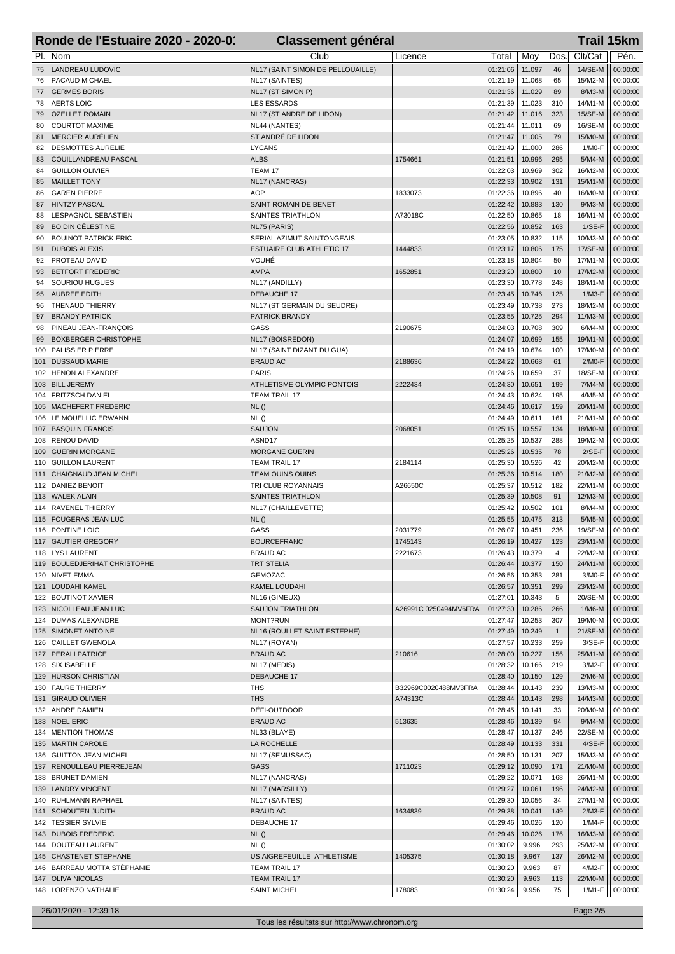|             | Ronde de l'Estuaire 2020 - 2020-01               | <b>Classement général</b>                  |                       |                      |                  |              |                     | <b>Trail 15km</b>    |
|-------------|--------------------------------------------------|--------------------------------------------|-----------------------|----------------------|------------------|--------------|---------------------|----------------------|
| PI.         | Nom                                              | Club                                       | Licence               | Total                | Moy              | Dos          | Clt/Cat             | Pén.                 |
| 75          | <b>LANDREAU LUDOVIC</b>                          | NL17 (SAINT SIMON DE PELLOUAILLE)          |                       | 01:21:06             | 11.097           | 46           | 14/SE-M             | 00:00:00             |
| 76          | PACAUD MICHAEL                                   | NL17 (SAINTES)                             |                       | 01:21:19             | 11.068           | 65           | 15/M2-M             | 00:00:00             |
| 77          | <b>GERMES BORIS</b>                              | NL17 (ST SIMON P)                          |                       | 01:21:36             | 11.029           | 89           | 8/M3-M              | 00:00:00             |
| 78          | <b>AERTS LOIC</b>                                | <b>LES ESSARDS</b>                         |                       | 01:21:39             | 11.023           | 310          | 14/M1-M             | 00:00:00             |
| 79          | <b>OZELLET ROMAIN</b>                            | NL17 (ST ANDRE DE LIDON)                   |                       | 01:21:42             | 11.016           | 323          | 15/SE-M             | 00:00:00             |
| 80          | <b>COURTOT MAXIME</b>                            | NL44 (NANTES)                              |                       | 01:21:44             | 11.011           | 69           | 16/SE-M             | 00:00:00             |
| 81          | <b>MERCIER AURÉLIEN</b>                          | ST ANDRÉ DE LIDON                          |                       | 01:21:47             | 11.005           | 79           | 15/M0-M             | 00:00:00             |
| 82          | <b>DESMOTTES AURELIE</b>                         | <b>LYCANS</b>                              |                       | 01:21:49             | 11.000           | 286          | 1/M0-F              | 00:00:00             |
| 83          | COUILLANDREAU PASCAL                             | <b>ALBS</b>                                | 1754661               | 01:21:51             | 10.996           | 295          | 5/M4-M              | 00:00:00             |
| 84          | <b>GUILLON OLIVIER</b>                           | TEAM 17                                    |                       | 01:22:03             | 10.969           | 302          | 16/M2-M             | 00:00:00             |
| 85          | <b>MAILLET TONY</b><br><b>GAREN PIERRE</b>       | NL17 (NANCRAS)<br><b>AOP</b>               | 1833073               | 01:22:33<br>01:22:36 | 10.902<br>10.896 | 131<br>40    | 15/M1-M<br>16/M0-M  | 00:00:00             |
| 86<br>87    | <b>HINTZY PASCAL</b>                             | SAINT ROMAIN DE BENET                      |                       | 01:22:42             | 10.883           | 130          | $9/M3-M$            | 00:00:00<br>00:00:00 |
| 88          | LESPAGNOL SEBASTIEN                              | SAINTES TRIATHLON                          | A73018C               | 01:22:50             | 10.865           | 18           | 16/M1-M             | 00:00:00             |
| 89          | <b>BOIDIN CÉLESTINE</b>                          | NL75 (PARIS)                               |                       | 01:22:56             | 10.852           | 163          | $1/SE-F$            | 00:00:00             |
| 90          | <b>BOUINOT PATRICK ERIC</b>                      | SERIAL AZIMUT SAINTONGEAIS                 |                       | 01:23:05             | 10.832           | 115          | 10/M3-M             | 00:00:00             |
| 91          | <b>DUBOIS ALEXIS</b>                             | ESTUAIRE CLUB ATHLETIC 17                  | 1444833               | 01:23:17             | 10.806           | 175          | 17/SE-M             | 00:00:00             |
| 92          | PROTEAU DAVID                                    | VOUHÉ                                      |                       | 01:23:18             | 10.804           | 50           | 17/M1-M             | 00:00:00             |
| 93          | <b>BETFORT FREDERIC</b>                          | <b>AMPA</b>                                | 1652851               | 01:23:20             | 10.800           | 10           | 17/M2-M             | 00:00:00             |
| 94          | SOURIOU HUGUES                                   | NL17 (ANDILLY)                             |                       | 01:23:30             | 10.778           | 248          | 18/M1-M             | 00:00:00             |
| 95          | <b>AUBREE EDITH</b>                              | DEBAUCHE 17                                |                       | 01:23:45             | 10.746           | 125          | $1/M3-F$            | 00:00:00             |
| 96          | THENAUD THIERRY                                  | NL17 (ST GERMAIN DU SEUDRE)                |                       | 01:23:49             | 10.738           | 273          | 18/M2-M             | 00:00:00             |
| 97          | <b>BRANDY PATRICK</b>                            | PATRICK BRANDY                             |                       | 01:23:55             | 10.725           | 294          | 11/M3-M             | 00:00:00             |
| 98          | PINEAU JEAN-FRANÇOIS                             | GASS                                       | 2190675               | 01:24:03             | 10.708           | 309          | $6/M4-M$            | 00:00:00             |
| 99          | <b>BOXBERGER CHRISTOPHE</b>                      | NL17 (BOISREDON)                           |                       | 01:24:07             | 10.699           | 155          | 19/M1-M             | 00:00:00             |
| 100         | PALISSIER PIERRE                                 | NL17 (SAINT DIZANT DU GUA)                 |                       | 01:24:19             | 10.674           | 100          | 17/M0-M             | 00:00:00             |
| 101         | <b>DUSSAUD MARIE</b>                             | <b>BRAUD AC</b>                            | 2188636               | 01:24:22             | 10.668           | 61           | $2/MO-F$            | 00:00:00             |
| 102<br>103  | <b>HENON ALEXANDRE</b><br><b>BILL JEREMY</b>     | <b>PARIS</b><br>ATHLETISME OLYMPIC PONTOIS | 2222434               | 01:24:26<br>01:24:30 | 10.659<br>10.651 | 37<br>199    | 18/SE-M<br>$7/M4-M$ | 00:00:00<br>00:00:00 |
| 104         | <b>FRITZSCH DANIEL</b>                           | <b>TEAM TRAIL 17</b>                       |                       | 01:24:43             | 10.624           | 195          | 4/M5-M              | 00:00:00             |
| 105         | MACHEFERT FREDERIC                               | NL()                                       |                       | 01:24:46             | 10.617           | 159          | 20/M1-M             | 00:00:00             |
| 106         | LE MOUELLIC ERWANN                               | NL()                                       |                       | 01:24:49             | 10.611           | 161          | 21/M1-M             | 00:00:00             |
| 107         | <b>BASQUIN FRANCIS</b>                           | <b>SAUJON</b>                              | 2068051               | 01:25:15             | 10.557           | 134          | 18/M0-M             | 00:00:00             |
| 108         | RENOU DAVID                                      | ASND17                                     |                       | 01:25:25             | 10.537           | 288          | 19/M2-M             | 00:00:00             |
| 109         | <b>GUERIN MORGANE</b>                            | <b>MORGANE GUERIN</b>                      |                       | 01:25:26             | 10.535           | 78           | $2/SE-F$            | 00:00:00             |
| 110         | <b>GUILLON LAURENT</b>                           | <b>TEAM TRAIL 17</b>                       | 2184114               | 01:25:30             | 10.526           | 42           | 20/M2-M             | 00:00:00             |
| 111         | CHAIGNAUD JEAN MICHEL                            | <b>TEAM OUINS OUINS</b>                    |                       | 01:25:36             | 10.514           | 180          | 21/M2-M             | 00:00:00             |
| 112         | <b>DANIEZ BENOIT</b>                             | TRI CLUB ROYANNAIS                         | A26650C               | 01:25:37             | 10.512           | 182          | 22/M1-M             | 00:00:00             |
| 113         | <b>WALEK ALAIN</b>                               | SAINTES TRIATHLON                          |                       | 01:25:39             | 10.508           | 91           | 12/M3-M             | 00:00:00             |
| 114         | RAVENEL THIERRY                                  | NL17 (CHAILLEVETTE)                        |                       | 01:25:42             | 10.502           | 101          | 8/M4-M              | 00:00:00             |
| 115         | FOUGERAS JEAN LUC                                | NL()                                       |                       | 01:25:55             | 10.475           | 313          | $5/M5-M$            | 00:00:00             |
| 116         | PONTINE LOIC                                     | GASS                                       | 2031779               | 01:26:07             | 10.451           | 236          | 19/SE-M             | 00:00:00             |
|             | 117   GAUTIER GREGORY                            | BOURCEFRANC                                | 1745143               | 01:26:19   10.427    |                  | 123          | 23/M1-M             | 00:00:00             |
|             | 118   LYS LAURENT                                | <b>BRAUD AC</b>                            | 2221673               | 01:26:43             | 10.379           | 4<br>150     | 22/M2-M             | 00:00:00             |
|             | 119   BOULEDJERIHAT CHRISTOPHE<br>120 NIVET EMMA | <b>TRT STELIA</b><br><b>GEMOZAC</b>        |                       | 01:26:44<br>01:26:56 | 10.377<br>10.353 | 281          | 24/M1-M<br>3/M0-F   | 00:00:00<br>00:00:00 |
|             | 121   LOUDAHI KAMEL                              | KAMEL LOUDAHI                              |                       | 01:26:57             | 10.351           | 299          | 23/M2-M             | 00:00:00             |
| 122         | <b>BOUTINOT XAVIER</b>                           | NL16 (GIMEUX)                              |                       | 01:27:01             | 10.343           | 5            | 20/SE-M             | 00:00:00             |
|             | 123   NICOLLEAU JEAN LUC                         | <b>SAUJON TRIATHLON</b>                    | A26991C 0250494MV6FRA | 01:27:30             | 10.286           | 266          | $1/M6-M$            | 00:00:00             |
|             | 124   DUMAS ALEXANDRE                            | MONT?RUN                                   |                       | 01:27:47             | 10.253           | 307          | 19/M0-M             | 00:00:00             |
| 125         | SIMONET ANTOINE                                  | NL16 (ROULLET SAINT ESTEPHE)               |                       | 01:27:49             | 10.249           | $\mathbf{1}$ | 21/SE-M             | 00:00:00             |
|             | 126   CAILLET GWENOLA                            | NL17 (ROYAN)                               |                       | 01:27:57             | 10.233           | 259          | $3/SE-F$            | 00:00:00             |
| 127         | <b>PERALI PATRICE</b>                            | <b>BRAUD AC</b>                            | 210616                | 01:28:00             | 10.227           | 156          | 25/M1-M             | 00:00:00             |
| 128         | SIX ISABELLE                                     | NL17 (MEDIS)                               |                       | 01:28:32             | 10.166           | 219          | 3/M2-F              | 00:00:00             |
|             | 129 HURSON CHRISTIAN                             | DEBAUCHE 17                                |                       | 01:28:40             | 10.150           | 129          | $2/M6-M$            | 00:00:00             |
| 130         | FAURE THIERRY                                    | <b>THS</b>                                 | B32969C0020488MV3FRA  | 01:28:44             | 10.143           | 239          | 13/M3-M             | 00:00:00             |
| 131         | <b>GIRAUD OLIVIER</b>                            | <b>THS</b>                                 | A74313C               | 01:28:44             | 10.143           | 298          | 14/M3-M             | 00:00:00             |
| 132         | ANDRE DAMIEN<br><b>NOEL ERIC</b>                 | DÉFI-OUTDOOR<br><b>BRAUD AC</b>            |                       | 01:28:45             | 10.141           | 33<br>94     | 20/M0-M<br>$9/M4-M$ | 00:00:00             |
| 133 <br>134 | <b>MENTION THOMAS</b>                            | NL33 (BLAYE)                               | 513635                | 01:28:46<br>01:28:47 | 10.139<br>10.137 | 246          | 22/SE-M             | 00:00:00<br>00:00:00 |
|             | 135   MARTIN CAROLE                              | LA ROCHELLE                                |                       | 01:28:49             | 10.133           | 331          | $4/SE-F$            | 00:00:00             |
| 136         | <b>GUITTON JEAN MICHEL</b>                       | NL17 (SEMUSSAC)                            |                       | 01:28:50             | 10.131           | 207          | 15/M3-M             | 00:00:00             |
| 137         | RENOULLEAU PIERREJEAN                            | <b>GASS</b>                                | 1711023               | 01:29:12             | 10.090           | 171          | 21/M0-M             | 00:00:00             |
| 138         | <b>BRUNET DAMIEN</b>                             | NL17 (NANCRAS)                             |                       | 01:29:22             | 10.071           | 168          | 26/M1-M             | 00:00:00             |
| 139         | <b>LANDRY VINCENT</b>                            | NL17 (MARSILLY)                            |                       | 01:29:27             | 10.061           | 196          | 24/M2-M             | 00:00:00             |
| 140         | RUHLMANN RAPHAEL                                 | NL17 (SAINTES)                             |                       | 01:29:30             | 10.056           | 34           | 27/M1-M             | 00:00:00             |
| 141         | SCHOUTEN JUDITH                                  | <b>BRAUD AC</b>                            | 1634839               | 01:29:38             | 10.041           | 149          | $2/M3-F$            | 00:00:00             |
| 142         | <b>TESSIER SYLVIE</b>                            | DEBAUCHE 17                                |                       | 01:29:46             | 10.026           | 120          | 1/M4-F              | 00:00:00             |
|             | 143   DUBOIS FREDERIC                            | NL()                                       |                       | 01:29:46             | 10.026           | 176          | 16/M3-M             | 00:00:00             |
| 144         | DOUTEAU LAURENT                                  | NL()                                       |                       | 01:30:02             | 9.996            | 293          | 25/M2-M             | 00:00:00             |
| 145         | CHASTENET STEPHANE                               | US AIGREFEUILLE ATHLETISME                 | 1405375               | 01:30:18             | 9.967            | 137          | 26/M2-M             | 00:00:00             |
| 146         | BARREAU MOTTA STÉPHANIE                          | <b>TEAM TRAIL 17</b>                       |                       | 01:30:20             | 9.963            | 87           | 4/M2-F              | 00:00:00             |
|             | 147   OLIVA NICOLAS<br>148   LORENZO NATHALIE    | <b>TEAM TRAIL 17</b>                       | 178083                | 01:30:20<br>01:30:24 | 9.963<br>9.956   | 113<br>75    | 22/M0-M<br>1/M1-F   | 00:00:00<br>00:00:00 |
|             |                                                  | <b>SAINT MICHEL</b>                        |                       |                      |                  |              |                     |                      |
|             | 26/01/2020 - 12:39:18                            |                                            |                       |                      |                  |              | Page 2/5            |                      |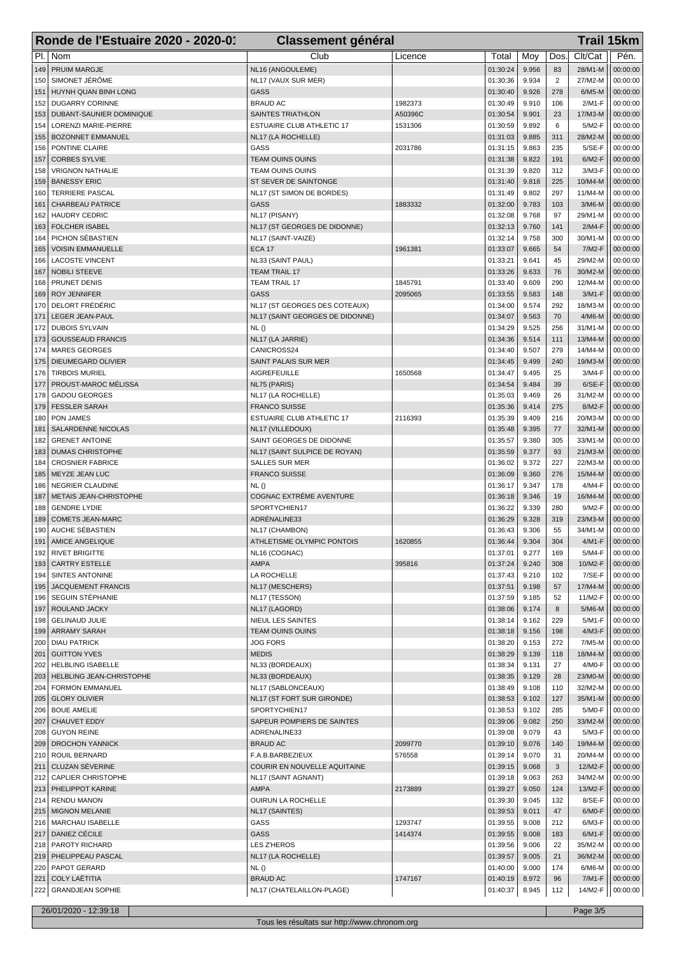|            | Ronde de l'Estuaire 2020 - 2020-01            | <b>Classement général</b>                          |         |                      |                |                | <b>Trail 15km</b>    |                      |
|------------|-----------------------------------------------|----------------------------------------------------|---------|----------------------|----------------|----------------|----------------------|----------------------|
| PI.        | Nom                                           | Club                                               | Licence | Total                | Moy            | Dos            | Clt/Cat              | Pén.                 |
| 149        | <b>PRUIM MARGJE</b>                           | NL16 (ANGOULEME)                                   |         | 01:30:24             | 9.956          | 83             | 28/M1-M              | 00:00:00             |
| 150        | SIMONET JÉRÔME                                | NL17 (VAUX SUR MER)                                |         | 01:30:36             | 9.934          | $\overline{2}$ | 27/M2-M              | 00:00:00             |
| 151        | HUYNH QUAN BINH LONG                          | <b>GASS</b>                                        |         | 01:30:40             | 9.926          | 278            | $6/M5-M$             | 00:00:00             |
| 152        | <b>DUGARRY CORINNE</b>                        | <b>BRAUD AC</b>                                    | 1982373 | 01:30:49             | 9.910          | 106            | 2/M1-F               | 00:00:00             |
| 153        | DUBANT-SAUNIER DOMINIQUE                      | <b>SAINTES TRIATHLON</b>                           | A50396C | 01:30:54             | 9.901          | 23             | 17/M3-M              | 00:00:00             |
| 154        | LORENZI MARIE-PIERRE                          | <b>ESTUAIRE CLUB ATHLETIC 17</b>                   | 1531306 | 01:30:59             | 9.892          | 6              | 5/M2-F               | 00:00:00             |
| 155        | <b>BOZONNET EMMANUEL</b>                      | NL17 (LA ROCHELLE)                                 |         | 01:31:03             | 9.885          | 311            | 28/M2-M              | 00:00:00             |
| 156        | PONTINE CLAIRE                                | GASS                                               | 2031786 | 01:31:15             | 9.863          | 235            | $5/SE-F$             | 00:00:00             |
| 157        | <b>CORBES SYLVIE</b>                          | <b>TEAM OUINS OUINS</b>                            |         | 01:31:38             | 9.822          | 191            | $6/M2-F$             | 00:00:00             |
| 158        | <b>VRIGNON NATHALIE</b>                       | TEAM OUINS OUINS                                   |         | 01:31:39             | 9.820          | 312<br>225     | 3/M3-F               | 00:00:00<br>00:00:00 |
| 159<br>160 | <b>BANESSY ERIC</b><br><b>TERRIERE PASCAL</b> | ST SEVER DE SAINTONGE<br>NL17 (ST SIMON DE BORDES) |         | 01:31:40<br>01:31:49 | 9.818<br>9.802 | 297            | 10/M4-M<br>11/M4-M   | 00:00:00             |
| 161        | <b>CHARBEAU PATRICE</b>                       | <b>GASS</b>                                        | 1883332 | 01:32:00             | 9.783          | 103            | $3/M6-M$             | 00:00:00             |
| 162        | <b>HAUDRY CEDRIC</b>                          | NL17 (PISANY)                                      |         | 01:32:08             | 9.768          | 97             | 29/M1-M              | 00:00:00             |
| 163        | <b>FOLCHER ISABEL</b>                         | NL17 (ST GEORGES DE DIDONNE)                       |         | 01:32:13             | 9.760          | 141            | 2/M4-F               | 00:00:00             |
| 164        | PICHON SÉBASTIEN                              | NL17 (SAINT-VAIZE)                                 |         | 01:32:14             | 9.758          | 300            | 30/M1-M              | 00:00:00             |
| 165        | <b>VOISIN EMMANUELLE</b>                      | <b>ECA 17</b>                                      | 1961381 | 01:33:07             | 9.665          | 54             | 7/M2-F               | 00:00:00             |
| 166        | <b>LACOSTE VINCENT</b>                        | NL33 (SAINT PAUL)                                  |         | 01:33:21             | 9.641          | 45             | 29/M2-M              | 00:00:00             |
| 167        | <b>NOBILI STEEVE</b>                          | <b>TEAM TRAIL 17</b>                               |         | 01:33:26             | 9.633          | 76             | 30/M2-M              | 00:00:00             |
| 168        | PRUNET DENIS                                  | <b>TEAM TRAIL 17</b>                               | 1845791 | 01:33:40             | 9.609          | 290            | 12/M4-M              | 00:00:00             |
| 169        | <b>ROY JENNIFER</b>                           | <b>GASS</b>                                        | 2095065 | 01:33:55             | 9.583          | 148            | $3/M1-F$             | 00:00:00             |
| 170        | <b>DELORT FRÉDÉRIC</b>                        | NL17 (ST GEORGES DES COTEAUX)                      |         | 01:34:00             | 9.574          | 292            | 18/M3-M              | 00:00:00             |
| 171        | <b>LEGER JEAN-PAUL</b>                        | NL17 (SAINT GEORGES DE DIDONNE)                    |         | 01:34:07             | 9.563          | 70             | 4/M6-M               | 00:00:00             |
| 172        | <b>DUBOIS SYLVAIN</b>                         | NL()                                               |         | 01:34:29             | 9.525          | 256            | 31/M1-M              | 00:00:00             |
| 173        | <b>GOUSSEAUD FRANCIS</b>                      | NL17 (LA JARRIE)                                   |         | 01:34:36             | 9.514          | 111            | 13/M4-M              | 00:00:00             |
| 174        | <b>MARES GEORGES</b>                          | CANICROSS24                                        |         | 01:34:40             | 9.507          | 279            | 14/M4-M              | 00:00:00             |
| 175        | <b>DIEUMEGARD OLIVIER</b>                     | SAINT PALAIS SUR MER                               |         | 01:34:45             | 9.499          | 240            | 19/M3-M              | 00:00:00             |
| 176        | <b>TIRBOIS MURIEL</b>                         | <b>AIGREFEUILLE</b>                                | 1650568 | 01:34:47             | 9.495          | 25             | 3/M4-F               | 00:00:00             |
| 177        | PROUST-MAROC MÉLISSA                          | NL75 (PARIS)                                       |         | 01:34:54             | 9.484          | 39             | $6/SE-F$             | 00:00:00             |
| 178        | <b>GADOU GEORGES</b>                          | NL17 (LA ROCHELLE)                                 |         | 01:35:03             | 9.469          | 26             | 31/M2-M              | 00:00:00             |
| 179        | <b>FESSLER SARAH</b>                          | <b>FRANCO SUISSE</b>                               |         | 01:35:36             | 9.414          | 275            | 8/M2-F               | 00:00:00             |
| 180        | PON JAMES                                     | ESTUAIRE CLUB ATHLETIC 17                          | 2116393 | 01:35:39<br>01:35:48 | 9.409<br>9.395 | 216<br>77      | 20/M3-M<br>32/M1-M   | 00:00:00<br>00:00:00 |
| 181<br>182 | SALARDENNE NICOLAS<br><b>GRENET ANTOINE</b>   | NL17 (VILLEDOUX)<br>SAINT GEORGES DE DIDONNE       |         | 01:35:57             | 9.380          | 305            | 33/M1-M              | 00:00:00             |
| 183        | <b>DUMAS CHRISTOPHE</b>                       | NL17 (SAINT SULPICE DE ROYAN)                      |         | 01:35:59             | 9.377          | 93             | 21/M3-M              | 00:00:00             |
| 184        | <b>CROSNIER FABRICE</b>                       | <b>SALLES SUR MER</b>                              |         | 01:36:02             | 9.372          | 227            | 22/M3-M              | 00:00:00             |
| 185        | MEYZE JEAN LUC                                | <b>FRANCO SUISSE</b>                               |         | 01:36:09             | 9.360          | 276            | 15/M4-M              | 00:00:00             |
| 186        | <b>NEGRIER CLAUDINE</b>                       | NL()                                               |         | 01:36:17             | 9.347          | 178            | 4/M4-F               | 00:00:00             |
| 187        | METAIS JEAN-CHRISTOPHE                        | <b>COGNAC EXTRÈME AVENTURE</b>                     |         | 01:36:18             | 9.346          | 19             | 16/M4-M              | 00:00:00             |
| 188        | <b>GENDRE LYDIE</b>                           | SPORTYCHIEN17                                      |         | 01:36:22             | 9.339          | 280            | 9/M2-F               | 00:00:00             |
| 189        | <b>COMETS JEAN-MARC</b>                       | ADRÉNALINE33                                       |         | 01:36:29             | 9.328          | 319            | 23/M3-M              | 00:00:00             |
| 190        | AUCHE SÉBASTIEN                               | NL17 (CHAMBON)                                     |         | 01:36:43             | 9.306          | 55             | 34/M1-M              | 00:00:00             |
|            | 191   AMICE ANGELIQUE                         | ATHLETISME OLYMPIC PONTOIS                         | 1620855 | 01:36:44             | 9.304          | 304            | 4/M1-F               | 00:00:00             |
| 192        | <b>RIVET BRIGITTE</b>                         | NL16 (COGNAC)                                      |         | 01:37:01             | 9.277          | 169            | 5/M4-F               | 00:00:00             |
| 193        | CARTRY ESTELLE                                | <b>AMPA</b>                                        | 395816  | 01:37:24             | 9.240          | 308            | 10/M2-F              | 00:00:00             |
| 194        | SINTES ANTONINE                               | LA ROCHELLE                                        |         | 01:37:43             | 9.210          | 102            | $7/SE-F$             | 00:00:00             |
|            | 195 JACQUEMENT FRANCIS                        | NL17 (MESCHERS)                                    |         | 01:37:51             | 9.198          | 57             | 17/M4-M              | 00:00:00             |
| 196        | SEGUIN STÉPHANIE                              | NL17 (TESSON)                                      |         | 01:37:59             | 9.185          | 52             | 11/M2-F              | 00:00:00             |
| 197        | <b>ROULAND JACKY</b>                          | NL17 (LAGORD)                                      |         | 01:38:06             | 9.174          | 8              | 5/M6-M               | 00:00:00             |
|            | 198   GELINAUD JULIE                          | NIEUL LES SAINTES                                  |         | 01:38:14             | 9.162          | 229            | 5/M1-F               | 00:00:00             |
| 199        | <b>ARRAMY SARAH</b>                           | <b>TEAM OUINS OUINS</b>                            |         | 01:38:18             | 9.156          | 198            | 4/M3-F               | 00:00:00             |
| 200        | <b>DIAU PATRICK</b>                           | <b>JOG FORS</b><br><b>MEDIS</b>                    |         | 01:38:20             | 9.153          | 272<br>118     | 7/M5-M               | 00:00:00             |
| 202        | 201 GUITTON YVES<br>HELBLING ISABELLE         | NL33 (BORDEAUX)                                    |         | 01:38:29<br>01:38:34 | 9.139<br>9.131 | 27             | 18/M4-M<br>4/M0-F    | 00:00:00<br>00:00:00 |
|            | 203   HELBLING JEAN-CHRISTOPHE                | NL33 (BORDEAUX)                                    |         | 01:38:35             | 9.129          | 28             | 23/M0-M              | 00:00:00             |
| 204        | FORMON EMMANUEL                               | NL17 (SABLONCEAUX)                                 |         | 01:38:49             | 9.108          | 110            | 32/M2-M              | 00:00:00             |
| 205        | <b>GLORY OLIVIER</b>                          | NL17 (ST FORT SUR GIRONDE)                         |         | 01:38:53             | 9.102          | 127            | 35/M1-M              | 00:00:00             |
|            | 206   BOUE AMELIE                             | SPORTYCHIEN17                                      |         | 01:38:53             | 9.102          | 285            | 5/M0-F               | 00:00:00             |
| 207        | <b>CHAUVET EDDY</b>                           | SAPEUR POMPIERS DE SAINTES                         |         | 01:39:06             | 9.082          | 250            | 33/M2-M              | 00:00:00             |
| 208        | <b>GUYON REINE</b>                            | ADRENALINE33                                       |         | 01:39:08             | 9.079          | 43             | 5/M3-F               | 00:00:00             |
| 209        | <b>DROCHON YANNICK</b>                        | <b>BRAUD AC</b>                                    | 2099770 | 01:39:10             | 9.076          | 140            | 19/M4-M              | 00:00:00             |
| 210        | ROUIL BERNARD                                 | F.A.B.BARBEZIEUX                                   | 576558  | 01:39:14             | 9.070          | 31             | 20/M4-M              | 00:00:00             |
|            | 211   CLUZAN SÉVERINE                         | COURIR EN NOUVELLE AQUITAINE                       |         | 01:39:15             | 9.068          | 3              | 12/M2-F              | 00:00:00             |
| 212        | <b>CAPLIER CHRISTOPHE</b>                     | NL17 (SAINT AGNANT)                                |         | 01:39:18             | 9.063          | 263            | 34/M2-M              | 00:00:00             |
| 213        | <b>PHELIPPOT KARINE</b>                       | <b>AMPA</b>                                        | 2173889 | 01:39:27             | 9.050          | 124            | 13/M2-F              | 00:00:00             |
|            | 214 RENDU MANON                               | OUIRUN LA ROCHELLE                                 |         | 01:39:30             | 9.045          | 132            | 8/SE-F               | 00:00:00             |
| 215        | MIGNON MELANIE                                | NL17 (SAINTES)                                     |         | 01:39:53             | 9.011          | 47             | 6/M0-F               | 00:00:00             |
| 216        | MARCHAU ISABELLE                              | GASS                                               | 1293747 | 01:39:55             | 9.008          | 212            | 6/M3-F               | 00:00:00             |
|            | 217   DANIEZ CÉCILE                           | <b>GASS</b>                                        | 1414374 | 01:39:55             | 9.008          | 183            | $6/M1-F$             | 00:00:00             |
|            | 218   PAROTY RICHARD                          | <b>LES Z'HEROS</b>                                 |         | 01:39:56             | 9.006          | 22             | 35/M2-M              | 00:00:00             |
| 219        | <b>PHELIPPEAU PASCAL</b>                      | NL17 (LA ROCHELLE)                                 |         | 01:39:57             | 9.005          | 21             | 36/M2-M              | 00:00:00             |
| 220        | <b>PAPOT GERARD</b><br>221   COLY LAËTITIA    | NL()                                               | 1747167 | 01:40:00             | 9.000          | 174<br>96      | $6/M6-M$<br>$7/M1-F$ | 00:00:00             |
|            | 222 GRANDJEAN SOPHIE                          | <b>BRAUD AC</b><br>NL17 (CHATELAILLON-PLAGE)       |         | 01:40:19<br>01:40:37 | 8.972<br>8.945 | 112            | 14/M2-F              | 00:00:00<br>00:00:00 |
|            |                                               |                                                    |         |                      |                |                |                      |                      |
|            | 26/01/2020 - 12:39:18                         |                                                    |         |                      |                |                | Page 3/5             |                      |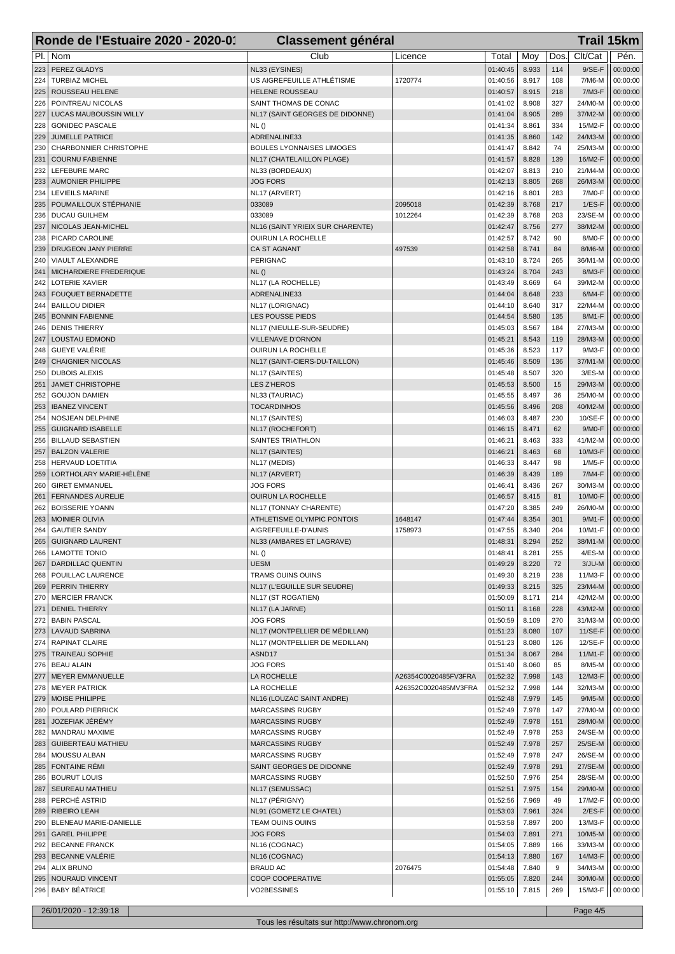| PI.<br>Nom<br>Club<br>Clt/Cat<br>Pén.<br>Moy<br>Dos<br>Licence<br>Total<br>PEREZ GLADYS<br>NL33 (EYSINES)<br>01:40:45<br>8.933<br>114<br>$9/SE-F$<br>00:00:00<br>223<br><b>TURBIAZ MICHEL</b><br>US AIGREFEUILLE ATHLÉTISME<br>01:40:56<br>8.917<br>00:00:00<br>224<br>1720774<br>108<br>7/M6-M<br>ROUSSEAU HELENE<br><b>HELENE ROUSSEAU</b><br>01:40:57<br>8.915<br>218<br>$7/M3-F$<br>00:00:00<br>225<br>327<br>POINTREAU NICOLAS<br>SAINT THOMAS DE CONAC<br>01:41:02<br>8.908<br>24/M0-M<br>00:00:00<br>226<br>8.905<br>227<br>LUCAS MAUBOUSSIN WILLY<br>NL17 (SAINT GEORGES DE DIDONNE)<br>01:41:04<br>289<br>37/M2-M<br>00:00:00<br>8.861<br>228<br><b>GONIDEC PASCALE</b><br>NL()<br>01:41:34<br>334<br>15/M2-F<br>00:00:00<br>8.860<br><b>JUMELLE PATRICE</b><br>ADRENALINE33<br>01:41:35<br>142<br>24/M3-M<br>00:00:00<br>229<br>01:41:47<br>8.842<br>00:00:00<br>230<br>CHARBONNIER CHRISTOPHE<br><b>BOULES LYONNAISES LIMOGES</b><br>74<br>25/M3-M<br>8.828<br><b>COURNU FABIENNE</b><br>NL17 (CHATELAILLON PLAGE)<br>01:41:57<br>139<br>16/M2-F<br>00:00:00<br>231<br>01:42:07<br>8.813<br>00:00:00<br>232<br>LEFEBURE MARC<br>NL33 (BORDEAUX)<br>210<br>21/M4-M<br>233<br><b>AUMONIER PHILIPPE</b><br><b>JOG FORS</b><br>01:42:13<br>8.805<br>268<br>26/M3-M<br>00:00:00<br>01:42:16<br>8.801<br><b>LEVIEILS MARINE</b><br>NL17 (ARVERT)<br>283<br>7/M0-F<br>00:00:00<br>234<br>POUMAILLOUX STÉPHANIE<br>01:42:39<br>8.768<br>033089<br>2095018<br>217<br>$1/ES-F$<br>00:00:00<br>235<br>01:42:39<br>8.768<br>236<br><b>DUCAU GUILHEM</b><br>033089<br>1012264<br>203<br>23/SE-M<br>00:00:00<br>01:42:47<br>8.756<br>277<br>38/M2-M<br>NICOLAS JEAN-MICHEL<br>NL16 (SAINT YRIEIX SUR CHARENTE)<br>00:00:00<br>237<br>8.742<br>8/M0-F<br>238<br>PICARD CAROLINE<br><b>OUIRUN LA ROCHELLE</b><br>01:42:57<br>90<br>00:00:00<br>DRUGEON JANY PIERRE<br><b>CA ST AGNANT</b><br>497539<br>01:42:58<br>8.741<br>8/M6-M<br>00:00:00<br>239<br>84<br>01:43:10<br>8.724<br>VIAULT ALEXANDRE<br><b>PERIGNAC</b><br>265<br>36/M1-M<br>00:00:00<br>240<br>MICHARDIERE FREDERIQUE<br>NL()<br>01:43:24<br>8.704<br>243<br>8/M3-F<br>00:00:00<br>241<br>8.669<br>242<br>LOTERIE XAVIER<br>NL17 (LA ROCHELLE)<br>01:43:49<br>64<br>39/M2-M<br>00:00:00<br>01:44:04<br>8.648<br>233<br>FOUQUET BERNADETTE<br>ADRENALINE33<br>$6/M4-F$<br>00:00:00<br>243<br>244<br><b>BAILLOU DIDIER</b><br>01:44:10<br>8.640<br>317<br>22/M4-M<br>00:00:00<br>NL17 (LORIGNAC)<br>01:44:54<br>8/M1-F<br><b>BONNIN FABIENNE</b><br><b>LES POUSSE PIEDS</b><br>8.580<br>135<br>00:00:00<br>245<br>01:45:03<br>8.567<br>184<br><b>DENIS THIERRY</b><br>NL17 (NIEULLE-SUR-SEUDRE)<br>27/M3-M<br>00:00:00<br>246<br><b>LOUSTAU EDMOND</b><br><b>VILLENAVE D'ORNON</b><br>01:45:21<br>8.543<br>28/M3-M<br>00:00:00<br>247<br>119<br>GUEYE VALÉRIE<br>01:45:36<br>8.523<br>117<br>9/M3-F<br>00:00:00<br>248<br>OUIRUN LA ROCHELLE<br>01:45:46<br><b>CHAIGNIER NICOLAS</b><br>NL17 (SAINT-CIERS-DU-TAILLON)<br>8.509<br>136<br>37/M1-M<br>00:00:00<br>249<br>01:45:48<br>8.507<br>320<br>3/ES-M<br>250<br><b>DUBOIS ALEXIS</b><br>NL17 (SAINTES)<br>00:00:00<br><b>JAMET CHRISTOPHE</b><br><b>LES Z'HEROS</b><br>01:45:53<br>8.500<br>15<br>29/M3-M<br>00:00:00<br>251<br>01:45:55<br>8.497<br>252<br><b>GOUJON DAMIEN</b><br>NL33 (TAURIAC)<br>36<br>25/M0-M<br>00:00:00<br>8.496<br>253<br><b>IBANEZ VINCENT</b><br><b>TOCARDINHOS</b><br>01:45:56<br>208<br>40/M2-M<br>00:00:00<br>8.487<br>230<br>254<br>NOSJEAN DELPHINE<br>NL17 (SAINTES)<br>01:46:03<br>10/SE-F<br>00:00:00<br><b>GUIGNARD ISABELLE</b><br>NL17 (ROCHEFORT)<br>01:46:15<br>8.471<br>62<br>9/M0-F<br>00:00:00<br>255<br>01:46:21<br>8.463<br>00:00:00<br>256<br><b>BILLAUD SEBASTIEN</b><br>SAINTES TRIATHLON<br>333<br>41/M2-M<br><b>BALZON VALERIE</b><br>01:46:21<br>8.463<br>68<br>10/M3-F<br>00:00:00<br>257<br>NL17 (SAINTES)<br>01:46:33<br>8.447<br>258<br><b>HERVAUD LOETITIA</b><br>NL17 (MEDIS)<br>98<br>1/M5-F<br>00:00:00<br>LORTHOLARY MARIE-HÉLÈNE<br>NL17 (ARVERT)<br>01:46:39<br>8.439<br>189<br>7/M4-F<br>00:00:00<br>259<br>8.436<br><b>GIRET EMMANUEL</b><br><b>JOG FORS</b><br>01:46:41<br>267<br>30/M3-M<br>00:00:00<br>260<br><b>FERNANDES AURELIE</b><br>OUIRUN LA ROCHELLE<br>01:46:57<br>8.415<br>81<br>10/M0-F<br>00:00:00<br>261<br>262<br><b>BOISSERIE YOANN</b><br>NL17 (TONNAY CHARENTE)<br>01:47:20<br>8.385<br>249<br>26/M0-M<br>00:00:00<br><b>MOINIER OLIVIA</b><br>ATHLETISME OLYMPIC PONTOIS<br>01:47:44<br>8.354<br>301<br>9/M1-F<br>00:00:00<br>263<br>1648147<br>8.340<br>264<br><b>GAUTIER SANDY</b><br>AIGREFEUILLE-D'AUNIS<br>1758973<br>01:47:55<br>204<br>10/M1-F<br>00:00:00<br>265   GUIGNARD LAURENT<br>NL33 (AMBARES ET LAGRAVE)<br>01:48:31<br>8.294<br>252<br>38/M1-M<br>  00:00:00  <br><b>LAMOTTE TONIO</b><br>NL()<br>01:48:41<br>8.281<br>255<br>$4/ES-M$<br>00:00:00<br>266<br><b>DARDILLAC QUENTIN</b><br><b>UESM</b><br>01:49:29<br>8.220<br>72<br>$3/JU-M$<br>00:00:00<br>267<br>268   POUILLAC LAURENCE<br>TRAMS OUINS OUINS<br>01:49:30<br>8.219<br>238<br>11/M3-F<br>00:00:00<br>01:49:33<br>269 PERRIN THIERRY<br>NL17 (L'EGUILLE SUR SEUDRE)<br>8.215<br>325<br>23/M4-M<br>00:00:00<br>270<br>NL17 (ST ROGATIEN)<br>01:50:09<br>8.171<br>214<br>42/M2-M<br>00:00:00<br><b>MERCIER FRANCK</b><br><b>DENIEL THIERRY</b><br>01:50:11<br>8.168<br>228<br>43/M2-M<br>00:00:00<br>271<br>NL17 (LA JARNE)<br>01:50:59<br>272<br><b>BABIN PASCAL</b><br><b>JOG FORS</b><br>8.109<br>270<br>31/M3-M<br>00:00:00<br>LAVAUD SABRINA<br>NL17 (MONTPELLIER DE MÉDILLAN)<br>01:51:23<br>8.080<br>107<br>11/SE-F<br>00:00:00<br>273<br>01:51:23<br>8.080<br>12/SE-F<br>00:00:00<br>274 RAPINAT CLAIRE<br>NL17 (MONTPELLIER DE MEDILLAN)<br>126<br>275   TRAINEAU SOPHIE<br>ASND17<br>01:51:34<br>8.067<br>284<br>11/M1-F<br>00:00:00<br>276<br><b>BEAU ALAIN</b><br><b>JOG FORS</b><br>01:51:40<br>8.060<br>8/M5-M<br>00:00:00<br>85<br>7.998<br>MEYER EMMANUELLE<br>LA ROCHELLE<br>A26354C0020485FV3FRA<br>01:52:32<br>143<br>12/M3-F<br>00:00:00<br>277<br>278 MEYER PATRICK<br>LA ROCHELLE<br>01:52:32<br>7.998<br>144<br>32/M3-M<br>00:00:00<br>A26352C0020485MV3FRA<br>279<br>MOISE PHILIPPE<br>NL16 (LOUZAC SAINT ANDRE)<br>01:52:48<br>7.979<br>145<br>$9/M5-M$<br>00:00:00<br>280<br>POULARD PIERRICK<br><b>MARCASSINS RUGBY</b><br>01:52:49<br>7.978<br>147<br>27/M0-M<br>00:00:00<br>JOZEFIAK JÉRÉMY<br><b>MARCASSINS RUGBY</b><br>01:52:49<br>7.978<br>151<br>28/M0-M<br>00:00:00<br>281<br>01:52:49<br>7.978<br>282<br>MANDRAU MAXIME<br>MARCASSINS RUGBY<br>253<br>24/SE-M<br>00:00:00<br>01:52:49<br>GUIBERTEAU MATHIEU<br>7.978<br>257<br>25/SE-M<br>00:00:00<br>283<br><b>MARCASSINS RUGBY</b><br>01:52:49<br>7.978<br>26/SE-M<br>MOUSSU ALBAN<br><b>MARCASSINS RUGBY</b><br>247<br>00:00:00<br>284<br>285<br>FONTAINE RÉMI<br>SAINT GEORGES DE DIDONNE<br>01:52:49<br>7.978<br>291<br>27/SE-M<br>00:00:00<br><b>BOURUT LOUIS</b><br><b>MARCASSINS RUGBY</b><br>01:52:50<br>7.976<br>254<br>28/SE-M<br>00:00:00<br>286<br><b>SEUREAU MATHIEU</b><br>NL17 (SEMUSSAC)<br>01:52:51<br>7.975<br>154<br>29/M0-M<br>00:00:00<br>287<br>PERCHÉ ASTRID<br>NL17 (PÉRIGNY)<br>01:52:56<br>288<br>7.969<br>17/M2-F<br>00:00:00<br>49<br>RIBEIRO LEAH<br>NL91 (GOMETZ LE CHATEL)<br>01:53:03<br>7.961<br>324<br>$2/ES-F$<br>00:00:00<br>289 | Ronde de l'Estuaire 2020 - 2020-01 | <b>Classement général</b> |  |  | <b>Trail 15km</b> |
|--------------------------------------------------------------------------------------------------------------------------------------------------------------------------------------------------------------------------------------------------------------------------------------------------------------------------------------------------------------------------------------------------------------------------------------------------------------------------------------------------------------------------------------------------------------------------------------------------------------------------------------------------------------------------------------------------------------------------------------------------------------------------------------------------------------------------------------------------------------------------------------------------------------------------------------------------------------------------------------------------------------------------------------------------------------------------------------------------------------------------------------------------------------------------------------------------------------------------------------------------------------------------------------------------------------------------------------------------------------------------------------------------------------------------------------------------------------------------------------------------------------------------------------------------------------------------------------------------------------------------------------------------------------------------------------------------------------------------------------------------------------------------------------------------------------------------------------------------------------------------------------------------------------------------------------------------------------------------------------------------------------------------------------------------------------------------------------------------------------------------------------------------------------------------------------------------------------------------------------------------------------------------------------------------------------------------------------------------------------------------------------------------------------------------------------------------------------------------------------------------------------------------------------------------------------------------------------------------------------------------------------------------------------------------------------------------------------------------------------------------------------------------------------------------------------------------------------------------------------------------------------------------------------------------------------------------------------------------------------------------------------------------------------------------------------------------------------------------------------------------------------------------------------------------------------------------------------------------------------------------------------------------------------------------------------------------------------------------------------------------------------------------------------------------------------------------------------------------------------------------------------------------------------------------------------------------------------------------------------------------------------------------------------------------------------------------------------------------------------------------------------------------------------------------------------------------------------------------------------------------------------------------------------------------------------------------------------------------------------------------------------------------------------------------------------------------------------------------------------------------------------------------------------------------------------------------------------------------------------------------------------------------------------------------------------------------------------------------------------------------------------------------------------------------------------------------------------------------------------------------------------------------------------------------------------------------------------------------------------------------------------------------------------------------------------------------------------------------------------------------------------------------------------------------------------------------------------------------------------------------------------------------------------------------------------------------------------------------------------------------------------------------------------------------------------------------------------------------------------------------------------------------------------------------------------------------------------------------------------------------------------------------------------------------------------------------------------------------------------------------------------------------------------------------------------------------------------------------------------------------------------------------------------------------------------------------------------------------------------------------------------------------------------------------------------------------------------------------------------------------------------------------------------------------------------------------------------------------------------------------------------------------------------------------------------------------------------------------------------------------------------------------------------------------------------------------------------------------------------------------------------------------------------------------------------------------------------------------------------------------------------------------------------------------------------------------------------------------------------------------------------------------------------------------------------------------------------------------------------------------------------------------------------------------------------------------------------------------------------------------------------------------------------------------------------------------------------------------------------------------------------------------------------------------------------------------------------------------------------------------------------------------------------------------------------------------------------------------------------------------------------------------------------------------------------------------------------------------------------------------------------------------------------------------------------------------------------------------------------------------------------------------------------------------------------------------------------------|------------------------------------|---------------------------|--|--|-------------------|
|                                                                                                                                                                                                                                                                                                                                                                                                                                                                                                                                                                                                                                                                                                                                                                                                                                                                                                                                                                                                                                                                                                                                                                                                                                                                                                                                                                                                                                                                                                                                                                                                                                                                                                                                                                                                                                                                                                                                                                                                                                                                                                                                                                                                                                                                                                                                                                                                                                                                                                                                                                                                                                                                                                                                                                                                                                                                                                                                                                                                                                                                                                                                                                                                                                                                                                                                                                                                                                                                                                                                                                                                                                                                                                                                                                                                                                                                                                                                                                                                                                                                                                                                                                                                                                                                                                                                                                                                                                                                                                                                                                                                                                                                                                                                                                                                                                                                                                                                                                                                                                                                                                                                                                                                                                                                                                                                                                                                                                                                                                                                                                                                                                                                                                                                                                                                                                                                                                                                                                                                                                                                                                                                                                                                                                                                                                                                                                                                                                                                                                                                                                                                                                                                                                                                                                                                                                                                                                                                                                                                                                                                                                                                                                                                                                                                                                                                            |                                    |                           |  |  |                   |
|                                                                                                                                                                                                                                                                                                                                                                                                                                                                                                                                                                                                                                                                                                                                                                                                                                                                                                                                                                                                                                                                                                                                                                                                                                                                                                                                                                                                                                                                                                                                                                                                                                                                                                                                                                                                                                                                                                                                                                                                                                                                                                                                                                                                                                                                                                                                                                                                                                                                                                                                                                                                                                                                                                                                                                                                                                                                                                                                                                                                                                                                                                                                                                                                                                                                                                                                                                                                                                                                                                                                                                                                                                                                                                                                                                                                                                                                                                                                                                                                                                                                                                                                                                                                                                                                                                                                                                                                                                                                                                                                                                                                                                                                                                                                                                                                                                                                                                                                                                                                                                                                                                                                                                                                                                                                                                                                                                                                                                                                                                                                                                                                                                                                                                                                                                                                                                                                                                                                                                                                                                                                                                                                                                                                                                                                                                                                                                                                                                                                                                                                                                                                                                                                                                                                                                                                                                                                                                                                                                                                                                                                                                                                                                                                                                                                                                                                            |                                    |                           |  |  |                   |
|                                                                                                                                                                                                                                                                                                                                                                                                                                                                                                                                                                                                                                                                                                                                                                                                                                                                                                                                                                                                                                                                                                                                                                                                                                                                                                                                                                                                                                                                                                                                                                                                                                                                                                                                                                                                                                                                                                                                                                                                                                                                                                                                                                                                                                                                                                                                                                                                                                                                                                                                                                                                                                                                                                                                                                                                                                                                                                                                                                                                                                                                                                                                                                                                                                                                                                                                                                                                                                                                                                                                                                                                                                                                                                                                                                                                                                                                                                                                                                                                                                                                                                                                                                                                                                                                                                                                                                                                                                                                                                                                                                                                                                                                                                                                                                                                                                                                                                                                                                                                                                                                                                                                                                                                                                                                                                                                                                                                                                                                                                                                                                                                                                                                                                                                                                                                                                                                                                                                                                                                                                                                                                                                                                                                                                                                                                                                                                                                                                                                                                                                                                                                                                                                                                                                                                                                                                                                                                                                                                                                                                                                                                                                                                                                                                                                                                                                            |                                    |                           |  |  |                   |
|                                                                                                                                                                                                                                                                                                                                                                                                                                                                                                                                                                                                                                                                                                                                                                                                                                                                                                                                                                                                                                                                                                                                                                                                                                                                                                                                                                                                                                                                                                                                                                                                                                                                                                                                                                                                                                                                                                                                                                                                                                                                                                                                                                                                                                                                                                                                                                                                                                                                                                                                                                                                                                                                                                                                                                                                                                                                                                                                                                                                                                                                                                                                                                                                                                                                                                                                                                                                                                                                                                                                                                                                                                                                                                                                                                                                                                                                                                                                                                                                                                                                                                                                                                                                                                                                                                                                                                                                                                                                                                                                                                                                                                                                                                                                                                                                                                                                                                                                                                                                                                                                                                                                                                                                                                                                                                                                                                                                                                                                                                                                                                                                                                                                                                                                                                                                                                                                                                                                                                                                                                                                                                                                                                                                                                                                                                                                                                                                                                                                                                                                                                                                                                                                                                                                                                                                                                                                                                                                                                                                                                                                                                                                                                                                                                                                                                                                            |                                    |                           |  |  |                   |
|                                                                                                                                                                                                                                                                                                                                                                                                                                                                                                                                                                                                                                                                                                                                                                                                                                                                                                                                                                                                                                                                                                                                                                                                                                                                                                                                                                                                                                                                                                                                                                                                                                                                                                                                                                                                                                                                                                                                                                                                                                                                                                                                                                                                                                                                                                                                                                                                                                                                                                                                                                                                                                                                                                                                                                                                                                                                                                                                                                                                                                                                                                                                                                                                                                                                                                                                                                                                                                                                                                                                                                                                                                                                                                                                                                                                                                                                                                                                                                                                                                                                                                                                                                                                                                                                                                                                                                                                                                                                                                                                                                                                                                                                                                                                                                                                                                                                                                                                                                                                                                                                                                                                                                                                                                                                                                                                                                                                                                                                                                                                                                                                                                                                                                                                                                                                                                                                                                                                                                                                                                                                                                                                                                                                                                                                                                                                                                                                                                                                                                                                                                                                                                                                                                                                                                                                                                                                                                                                                                                                                                                                                                                                                                                                                                                                                                                                            |                                    |                           |  |  |                   |
|                                                                                                                                                                                                                                                                                                                                                                                                                                                                                                                                                                                                                                                                                                                                                                                                                                                                                                                                                                                                                                                                                                                                                                                                                                                                                                                                                                                                                                                                                                                                                                                                                                                                                                                                                                                                                                                                                                                                                                                                                                                                                                                                                                                                                                                                                                                                                                                                                                                                                                                                                                                                                                                                                                                                                                                                                                                                                                                                                                                                                                                                                                                                                                                                                                                                                                                                                                                                                                                                                                                                                                                                                                                                                                                                                                                                                                                                                                                                                                                                                                                                                                                                                                                                                                                                                                                                                                                                                                                                                                                                                                                                                                                                                                                                                                                                                                                                                                                                                                                                                                                                                                                                                                                                                                                                                                                                                                                                                                                                                                                                                                                                                                                                                                                                                                                                                                                                                                                                                                                                                                                                                                                                                                                                                                                                                                                                                                                                                                                                                                                                                                                                                                                                                                                                                                                                                                                                                                                                                                                                                                                                                                                                                                                                                                                                                                                                            |                                    |                           |  |  |                   |
|                                                                                                                                                                                                                                                                                                                                                                                                                                                                                                                                                                                                                                                                                                                                                                                                                                                                                                                                                                                                                                                                                                                                                                                                                                                                                                                                                                                                                                                                                                                                                                                                                                                                                                                                                                                                                                                                                                                                                                                                                                                                                                                                                                                                                                                                                                                                                                                                                                                                                                                                                                                                                                                                                                                                                                                                                                                                                                                                                                                                                                                                                                                                                                                                                                                                                                                                                                                                                                                                                                                                                                                                                                                                                                                                                                                                                                                                                                                                                                                                                                                                                                                                                                                                                                                                                                                                                                                                                                                                                                                                                                                                                                                                                                                                                                                                                                                                                                                                                                                                                                                                                                                                                                                                                                                                                                                                                                                                                                                                                                                                                                                                                                                                                                                                                                                                                                                                                                                                                                                                                                                                                                                                                                                                                                                                                                                                                                                                                                                                                                                                                                                                                                                                                                                                                                                                                                                                                                                                                                                                                                                                                                                                                                                                                                                                                                                                            |                                    |                           |  |  |                   |
|                                                                                                                                                                                                                                                                                                                                                                                                                                                                                                                                                                                                                                                                                                                                                                                                                                                                                                                                                                                                                                                                                                                                                                                                                                                                                                                                                                                                                                                                                                                                                                                                                                                                                                                                                                                                                                                                                                                                                                                                                                                                                                                                                                                                                                                                                                                                                                                                                                                                                                                                                                                                                                                                                                                                                                                                                                                                                                                                                                                                                                                                                                                                                                                                                                                                                                                                                                                                                                                                                                                                                                                                                                                                                                                                                                                                                                                                                                                                                                                                                                                                                                                                                                                                                                                                                                                                                                                                                                                                                                                                                                                                                                                                                                                                                                                                                                                                                                                                                                                                                                                                                                                                                                                                                                                                                                                                                                                                                                                                                                                                                                                                                                                                                                                                                                                                                                                                                                                                                                                                                                                                                                                                                                                                                                                                                                                                                                                                                                                                                                                                                                                                                                                                                                                                                                                                                                                                                                                                                                                                                                                                                                                                                                                                                                                                                                                                            |                                    |                           |  |  |                   |
|                                                                                                                                                                                                                                                                                                                                                                                                                                                                                                                                                                                                                                                                                                                                                                                                                                                                                                                                                                                                                                                                                                                                                                                                                                                                                                                                                                                                                                                                                                                                                                                                                                                                                                                                                                                                                                                                                                                                                                                                                                                                                                                                                                                                                                                                                                                                                                                                                                                                                                                                                                                                                                                                                                                                                                                                                                                                                                                                                                                                                                                                                                                                                                                                                                                                                                                                                                                                                                                                                                                                                                                                                                                                                                                                                                                                                                                                                                                                                                                                                                                                                                                                                                                                                                                                                                                                                                                                                                                                                                                                                                                                                                                                                                                                                                                                                                                                                                                                                                                                                                                                                                                                                                                                                                                                                                                                                                                                                                                                                                                                                                                                                                                                                                                                                                                                                                                                                                                                                                                                                                                                                                                                                                                                                                                                                                                                                                                                                                                                                                                                                                                                                                                                                                                                                                                                                                                                                                                                                                                                                                                                                                                                                                                                                                                                                                                                            |                                    |                           |  |  |                   |
|                                                                                                                                                                                                                                                                                                                                                                                                                                                                                                                                                                                                                                                                                                                                                                                                                                                                                                                                                                                                                                                                                                                                                                                                                                                                                                                                                                                                                                                                                                                                                                                                                                                                                                                                                                                                                                                                                                                                                                                                                                                                                                                                                                                                                                                                                                                                                                                                                                                                                                                                                                                                                                                                                                                                                                                                                                                                                                                                                                                                                                                                                                                                                                                                                                                                                                                                                                                                                                                                                                                                                                                                                                                                                                                                                                                                                                                                                                                                                                                                                                                                                                                                                                                                                                                                                                                                                                                                                                                                                                                                                                                                                                                                                                                                                                                                                                                                                                                                                                                                                                                                                                                                                                                                                                                                                                                                                                                                                                                                                                                                                                                                                                                                                                                                                                                                                                                                                                                                                                                                                                                                                                                                                                                                                                                                                                                                                                                                                                                                                                                                                                                                                                                                                                                                                                                                                                                                                                                                                                                                                                                                                                                                                                                                                                                                                                                                            |                                    |                           |  |  |                   |
|                                                                                                                                                                                                                                                                                                                                                                                                                                                                                                                                                                                                                                                                                                                                                                                                                                                                                                                                                                                                                                                                                                                                                                                                                                                                                                                                                                                                                                                                                                                                                                                                                                                                                                                                                                                                                                                                                                                                                                                                                                                                                                                                                                                                                                                                                                                                                                                                                                                                                                                                                                                                                                                                                                                                                                                                                                                                                                                                                                                                                                                                                                                                                                                                                                                                                                                                                                                                                                                                                                                                                                                                                                                                                                                                                                                                                                                                                                                                                                                                                                                                                                                                                                                                                                                                                                                                                                                                                                                                                                                                                                                                                                                                                                                                                                                                                                                                                                                                                                                                                                                                                                                                                                                                                                                                                                                                                                                                                                                                                                                                                                                                                                                                                                                                                                                                                                                                                                                                                                                                                                                                                                                                                                                                                                                                                                                                                                                                                                                                                                                                                                                                                                                                                                                                                                                                                                                                                                                                                                                                                                                                                                                                                                                                                                                                                                                                            |                                    |                           |  |  |                   |
|                                                                                                                                                                                                                                                                                                                                                                                                                                                                                                                                                                                                                                                                                                                                                                                                                                                                                                                                                                                                                                                                                                                                                                                                                                                                                                                                                                                                                                                                                                                                                                                                                                                                                                                                                                                                                                                                                                                                                                                                                                                                                                                                                                                                                                                                                                                                                                                                                                                                                                                                                                                                                                                                                                                                                                                                                                                                                                                                                                                                                                                                                                                                                                                                                                                                                                                                                                                                                                                                                                                                                                                                                                                                                                                                                                                                                                                                                                                                                                                                                                                                                                                                                                                                                                                                                                                                                                                                                                                                                                                                                                                                                                                                                                                                                                                                                                                                                                                                                                                                                                                                                                                                                                                                                                                                                                                                                                                                                                                                                                                                                                                                                                                                                                                                                                                                                                                                                                                                                                                                                                                                                                                                                                                                                                                                                                                                                                                                                                                                                                                                                                                                                                                                                                                                                                                                                                                                                                                                                                                                                                                                                                                                                                                                                                                                                                                                            |                                    |                           |  |  |                   |
|                                                                                                                                                                                                                                                                                                                                                                                                                                                                                                                                                                                                                                                                                                                                                                                                                                                                                                                                                                                                                                                                                                                                                                                                                                                                                                                                                                                                                                                                                                                                                                                                                                                                                                                                                                                                                                                                                                                                                                                                                                                                                                                                                                                                                                                                                                                                                                                                                                                                                                                                                                                                                                                                                                                                                                                                                                                                                                                                                                                                                                                                                                                                                                                                                                                                                                                                                                                                                                                                                                                                                                                                                                                                                                                                                                                                                                                                                                                                                                                                                                                                                                                                                                                                                                                                                                                                                                                                                                                                                                                                                                                                                                                                                                                                                                                                                                                                                                                                                                                                                                                                                                                                                                                                                                                                                                                                                                                                                                                                                                                                                                                                                                                                                                                                                                                                                                                                                                                                                                                                                                                                                                                                                                                                                                                                                                                                                                                                                                                                                                                                                                                                                                                                                                                                                                                                                                                                                                                                                                                                                                                                                                                                                                                                                                                                                                                                            |                                    |                           |  |  |                   |
|                                                                                                                                                                                                                                                                                                                                                                                                                                                                                                                                                                                                                                                                                                                                                                                                                                                                                                                                                                                                                                                                                                                                                                                                                                                                                                                                                                                                                                                                                                                                                                                                                                                                                                                                                                                                                                                                                                                                                                                                                                                                                                                                                                                                                                                                                                                                                                                                                                                                                                                                                                                                                                                                                                                                                                                                                                                                                                                                                                                                                                                                                                                                                                                                                                                                                                                                                                                                                                                                                                                                                                                                                                                                                                                                                                                                                                                                                                                                                                                                                                                                                                                                                                                                                                                                                                                                                                                                                                                                                                                                                                                                                                                                                                                                                                                                                                                                                                                                                                                                                                                                                                                                                                                                                                                                                                                                                                                                                                                                                                                                                                                                                                                                                                                                                                                                                                                                                                                                                                                                                                                                                                                                                                                                                                                                                                                                                                                                                                                                                                                                                                                                                                                                                                                                                                                                                                                                                                                                                                                                                                                                                                                                                                                                                                                                                                                                            |                                    |                           |  |  |                   |
|                                                                                                                                                                                                                                                                                                                                                                                                                                                                                                                                                                                                                                                                                                                                                                                                                                                                                                                                                                                                                                                                                                                                                                                                                                                                                                                                                                                                                                                                                                                                                                                                                                                                                                                                                                                                                                                                                                                                                                                                                                                                                                                                                                                                                                                                                                                                                                                                                                                                                                                                                                                                                                                                                                                                                                                                                                                                                                                                                                                                                                                                                                                                                                                                                                                                                                                                                                                                                                                                                                                                                                                                                                                                                                                                                                                                                                                                                                                                                                                                                                                                                                                                                                                                                                                                                                                                                                                                                                                                                                                                                                                                                                                                                                                                                                                                                                                                                                                                                                                                                                                                                                                                                                                                                                                                                                                                                                                                                                                                                                                                                                                                                                                                                                                                                                                                                                                                                                                                                                                                                                                                                                                                                                                                                                                                                                                                                                                                                                                                                                                                                                                                                                                                                                                                                                                                                                                                                                                                                                                                                                                                                                                                                                                                                                                                                                                                            |                                    |                           |  |  |                   |
|                                                                                                                                                                                                                                                                                                                                                                                                                                                                                                                                                                                                                                                                                                                                                                                                                                                                                                                                                                                                                                                                                                                                                                                                                                                                                                                                                                                                                                                                                                                                                                                                                                                                                                                                                                                                                                                                                                                                                                                                                                                                                                                                                                                                                                                                                                                                                                                                                                                                                                                                                                                                                                                                                                                                                                                                                                                                                                                                                                                                                                                                                                                                                                                                                                                                                                                                                                                                                                                                                                                                                                                                                                                                                                                                                                                                                                                                                                                                                                                                                                                                                                                                                                                                                                                                                                                                                                                                                                                                                                                                                                                                                                                                                                                                                                                                                                                                                                                                                                                                                                                                                                                                                                                                                                                                                                                                                                                                                                                                                                                                                                                                                                                                                                                                                                                                                                                                                                                                                                                                                                                                                                                                                                                                                                                                                                                                                                                                                                                                                                                                                                                                                                                                                                                                                                                                                                                                                                                                                                                                                                                                                                                                                                                                                                                                                                                                            |                                    |                           |  |  |                   |
|                                                                                                                                                                                                                                                                                                                                                                                                                                                                                                                                                                                                                                                                                                                                                                                                                                                                                                                                                                                                                                                                                                                                                                                                                                                                                                                                                                                                                                                                                                                                                                                                                                                                                                                                                                                                                                                                                                                                                                                                                                                                                                                                                                                                                                                                                                                                                                                                                                                                                                                                                                                                                                                                                                                                                                                                                                                                                                                                                                                                                                                                                                                                                                                                                                                                                                                                                                                                                                                                                                                                                                                                                                                                                                                                                                                                                                                                                                                                                                                                                                                                                                                                                                                                                                                                                                                                                                                                                                                                                                                                                                                                                                                                                                                                                                                                                                                                                                                                                                                                                                                                                                                                                                                                                                                                                                                                                                                                                                                                                                                                                                                                                                                                                                                                                                                                                                                                                                                                                                                                                                                                                                                                                                                                                                                                                                                                                                                                                                                                                                                                                                                                                                                                                                                                                                                                                                                                                                                                                                                                                                                                                                                                                                                                                                                                                                                                            |                                    |                           |  |  |                   |
|                                                                                                                                                                                                                                                                                                                                                                                                                                                                                                                                                                                                                                                                                                                                                                                                                                                                                                                                                                                                                                                                                                                                                                                                                                                                                                                                                                                                                                                                                                                                                                                                                                                                                                                                                                                                                                                                                                                                                                                                                                                                                                                                                                                                                                                                                                                                                                                                                                                                                                                                                                                                                                                                                                                                                                                                                                                                                                                                                                                                                                                                                                                                                                                                                                                                                                                                                                                                                                                                                                                                                                                                                                                                                                                                                                                                                                                                                                                                                                                                                                                                                                                                                                                                                                                                                                                                                                                                                                                                                                                                                                                                                                                                                                                                                                                                                                                                                                                                                                                                                                                                                                                                                                                                                                                                                                                                                                                                                                                                                                                                                                                                                                                                                                                                                                                                                                                                                                                                                                                                                                                                                                                                                                                                                                                                                                                                                                                                                                                                                                                                                                                                                                                                                                                                                                                                                                                                                                                                                                                                                                                                                                                                                                                                                                                                                                                                            |                                    |                           |  |  |                   |
|                                                                                                                                                                                                                                                                                                                                                                                                                                                                                                                                                                                                                                                                                                                                                                                                                                                                                                                                                                                                                                                                                                                                                                                                                                                                                                                                                                                                                                                                                                                                                                                                                                                                                                                                                                                                                                                                                                                                                                                                                                                                                                                                                                                                                                                                                                                                                                                                                                                                                                                                                                                                                                                                                                                                                                                                                                                                                                                                                                                                                                                                                                                                                                                                                                                                                                                                                                                                                                                                                                                                                                                                                                                                                                                                                                                                                                                                                                                                                                                                                                                                                                                                                                                                                                                                                                                                                                                                                                                                                                                                                                                                                                                                                                                                                                                                                                                                                                                                                                                                                                                                                                                                                                                                                                                                                                                                                                                                                                                                                                                                                                                                                                                                                                                                                                                                                                                                                                                                                                                                                                                                                                                                                                                                                                                                                                                                                                                                                                                                                                                                                                                                                                                                                                                                                                                                                                                                                                                                                                                                                                                                                                                                                                                                                                                                                                                                            |                                    |                           |  |  |                   |
|                                                                                                                                                                                                                                                                                                                                                                                                                                                                                                                                                                                                                                                                                                                                                                                                                                                                                                                                                                                                                                                                                                                                                                                                                                                                                                                                                                                                                                                                                                                                                                                                                                                                                                                                                                                                                                                                                                                                                                                                                                                                                                                                                                                                                                                                                                                                                                                                                                                                                                                                                                                                                                                                                                                                                                                                                                                                                                                                                                                                                                                                                                                                                                                                                                                                                                                                                                                                                                                                                                                                                                                                                                                                                                                                                                                                                                                                                                                                                                                                                                                                                                                                                                                                                                                                                                                                                                                                                                                                                                                                                                                                                                                                                                                                                                                                                                                                                                                                                                                                                                                                                                                                                                                                                                                                                                                                                                                                                                                                                                                                                                                                                                                                                                                                                                                                                                                                                                                                                                                                                                                                                                                                                                                                                                                                                                                                                                                                                                                                                                                                                                                                                                                                                                                                                                                                                                                                                                                                                                                                                                                                                                                                                                                                                                                                                                                                            |                                    |                           |  |  |                   |
|                                                                                                                                                                                                                                                                                                                                                                                                                                                                                                                                                                                                                                                                                                                                                                                                                                                                                                                                                                                                                                                                                                                                                                                                                                                                                                                                                                                                                                                                                                                                                                                                                                                                                                                                                                                                                                                                                                                                                                                                                                                                                                                                                                                                                                                                                                                                                                                                                                                                                                                                                                                                                                                                                                                                                                                                                                                                                                                                                                                                                                                                                                                                                                                                                                                                                                                                                                                                                                                                                                                                                                                                                                                                                                                                                                                                                                                                                                                                                                                                                                                                                                                                                                                                                                                                                                                                                                                                                                                                                                                                                                                                                                                                                                                                                                                                                                                                                                                                                                                                                                                                                                                                                                                                                                                                                                                                                                                                                                                                                                                                                                                                                                                                                                                                                                                                                                                                                                                                                                                                                                                                                                                                                                                                                                                                                                                                                                                                                                                                                                                                                                                                                                                                                                                                                                                                                                                                                                                                                                                                                                                                                                                                                                                                                                                                                                                                            |                                    |                           |  |  |                   |
|                                                                                                                                                                                                                                                                                                                                                                                                                                                                                                                                                                                                                                                                                                                                                                                                                                                                                                                                                                                                                                                                                                                                                                                                                                                                                                                                                                                                                                                                                                                                                                                                                                                                                                                                                                                                                                                                                                                                                                                                                                                                                                                                                                                                                                                                                                                                                                                                                                                                                                                                                                                                                                                                                                                                                                                                                                                                                                                                                                                                                                                                                                                                                                                                                                                                                                                                                                                                                                                                                                                                                                                                                                                                                                                                                                                                                                                                                                                                                                                                                                                                                                                                                                                                                                                                                                                                                                                                                                                                                                                                                                                                                                                                                                                                                                                                                                                                                                                                                                                                                                                                                                                                                                                                                                                                                                                                                                                                                                                                                                                                                                                                                                                                                                                                                                                                                                                                                                                                                                                                                                                                                                                                                                                                                                                                                                                                                                                                                                                                                                                                                                                                                                                                                                                                                                                                                                                                                                                                                                                                                                                                                                                                                                                                                                                                                                                                            |                                    |                           |  |  |                   |
|                                                                                                                                                                                                                                                                                                                                                                                                                                                                                                                                                                                                                                                                                                                                                                                                                                                                                                                                                                                                                                                                                                                                                                                                                                                                                                                                                                                                                                                                                                                                                                                                                                                                                                                                                                                                                                                                                                                                                                                                                                                                                                                                                                                                                                                                                                                                                                                                                                                                                                                                                                                                                                                                                                                                                                                                                                                                                                                                                                                                                                                                                                                                                                                                                                                                                                                                                                                                                                                                                                                                                                                                                                                                                                                                                                                                                                                                                                                                                                                                                                                                                                                                                                                                                                                                                                                                                                                                                                                                                                                                                                                                                                                                                                                                                                                                                                                                                                                                                                                                                                                                                                                                                                                                                                                                                                                                                                                                                                                                                                                                                                                                                                                                                                                                                                                                                                                                                                                                                                                                                                                                                                                                                                                                                                                                                                                                                                                                                                                                                                                                                                                                                                                                                                                                                                                                                                                                                                                                                                                                                                                                                                                                                                                                                                                                                                                                            |                                    |                           |  |  |                   |
|                                                                                                                                                                                                                                                                                                                                                                                                                                                                                                                                                                                                                                                                                                                                                                                                                                                                                                                                                                                                                                                                                                                                                                                                                                                                                                                                                                                                                                                                                                                                                                                                                                                                                                                                                                                                                                                                                                                                                                                                                                                                                                                                                                                                                                                                                                                                                                                                                                                                                                                                                                                                                                                                                                                                                                                                                                                                                                                                                                                                                                                                                                                                                                                                                                                                                                                                                                                                                                                                                                                                                                                                                                                                                                                                                                                                                                                                                                                                                                                                                                                                                                                                                                                                                                                                                                                                                                                                                                                                                                                                                                                                                                                                                                                                                                                                                                                                                                                                                                                                                                                                                                                                                                                                                                                                                                                                                                                                                                                                                                                                                                                                                                                                                                                                                                                                                                                                                                                                                                                                                                                                                                                                                                                                                                                                                                                                                                                                                                                                                                                                                                                                                                                                                                                                                                                                                                                                                                                                                                                                                                                                                                                                                                                                                                                                                                                                            |                                    |                           |  |  |                   |
|                                                                                                                                                                                                                                                                                                                                                                                                                                                                                                                                                                                                                                                                                                                                                                                                                                                                                                                                                                                                                                                                                                                                                                                                                                                                                                                                                                                                                                                                                                                                                                                                                                                                                                                                                                                                                                                                                                                                                                                                                                                                                                                                                                                                                                                                                                                                                                                                                                                                                                                                                                                                                                                                                                                                                                                                                                                                                                                                                                                                                                                                                                                                                                                                                                                                                                                                                                                                                                                                                                                                                                                                                                                                                                                                                                                                                                                                                                                                                                                                                                                                                                                                                                                                                                                                                                                                                                                                                                                                                                                                                                                                                                                                                                                                                                                                                                                                                                                                                                                                                                                                                                                                                                                                                                                                                                                                                                                                                                                                                                                                                                                                                                                                                                                                                                                                                                                                                                                                                                                                                                                                                                                                                                                                                                                                                                                                                                                                                                                                                                                                                                                                                                                                                                                                                                                                                                                                                                                                                                                                                                                                                                                                                                                                                                                                                                                                            |                                    |                           |  |  |                   |
|                                                                                                                                                                                                                                                                                                                                                                                                                                                                                                                                                                                                                                                                                                                                                                                                                                                                                                                                                                                                                                                                                                                                                                                                                                                                                                                                                                                                                                                                                                                                                                                                                                                                                                                                                                                                                                                                                                                                                                                                                                                                                                                                                                                                                                                                                                                                                                                                                                                                                                                                                                                                                                                                                                                                                                                                                                                                                                                                                                                                                                                                                                                                                                                                                                                                                                                                                                                                                                                                                                                                                                                                                                                                                                                                                                                                                                                                                                                                                                                                                                                                                                                                                                                                                                                                                                                                                                                                                                                                                                                                                                                                                                                                                                                                                                                                                                                                                                                                                                                                                                                                                                                                                                                                                                                                                                                                                                                                                                                                                                                                                                                                                                                                                                                                                                                                                                                                                                                                                                                                                                                                                                                                                                                                                                                                                                                                                                                                                                                                                                                                                                                                                                                                                                                                                                                                                                                                                                                                                                                                                                                                                                                                                                                                                                                                                                                                            |                                    |                           |  |  |                   |
|                                                                                                                                                                                                                                                                                                                                                                                                                                                                                                                                                                                                                                                                                                                                                                                                                                                                                                                                                                                                                                                                                                                                                                                                                                                                                                                                                                                                                                                                                                                                                                                                                                                                                                                                                                                                                                                                                                                                                                                                                                                                                                                                                                                                                                                                                                                                                                                                                                                                                                                                                                                                                                                                                                                                                                                                                                                                                                                                                                                                                                                                                                                                                                                                                                                                                                                                                                                                                                                                                                                                                                                                                                                                                                                                                                                                                                                                                                                                                                                                                                                                                                                                                                                                                                                                                                                                                                                                                                                                                                                                                                                                                                                                                                                                                                                                                                                                                                                                                                                                                                                                                                                                                                                                                                                                                                                                                                                                                                                                                                                                                                                                                                                                                                                                                                                                                                                                                                                                                                                                                                                                                                                                                                                                                                                                                                                                                                                                                                                                                                                                                                                                                                                                                                                                                                                                                                                                                                                                                                                                                                                                                                                                                                                                                                                                                                                                            |                                    |                           |  |  |                   |
|                                                                                                                                                                                                                                                                                                                                                                                                                                                                                                                                                                                                                                                                                                                                                                                                                                                                                                                                                                                                                                                                                                                                                                                                                                                                                                                                                                                                                                                                                                                                                                                                                                                                                                                                                                                                                                                                                                                                                                                                                                                                                                                                                                                                                                                                                                                                                                                                                                                                                                                                                                                                                                                                                                                                                                                                                                                                                                                                                                                                                                                                                                                                                                                                                                                                                                                                                                                                                                                                                                                                                                                                                                                                                                                                                                                                                                                                                                                                                                                                                                                                                                                                                                                                                                                                                                                                                                                                                                                                                                                                                                                                                                                                                                                                                                                                                                                                                                                                                                                                                                                                                                                                                                                                                                                                                                                                                                                                                                                                                                                                                                                                                                                                                                                                                                                                                                                                                                                                                                                                                                                                                                                                                                                                                                                                                                                                                                                                                                                                                                                                                                                                                                                                                                                                                                                                                                                                                                                                                                                                                                                                                                                                                                                                                                                                                                                                            |                                    |                           |  |  |                   |
|                                                                                                                                                                                                                                                                                                                                                                                                                                                                                                                                                                                                                                                                                                                                                                                                                                                                                                                                                                                                                                                                                                                                                                                                                                                                                                                                                                                                                                                                                                                                                                                                                                                                                                                                                                                                                                                                                                                                                                                                                                                                                                                                                                                                                                                                                                                                                                                                                                                                                                                                                                                                                                                                                                                                                                                                                                                                                                                                                                                                                                                                                                                                                                                                                                                                                                                                                                                                                                                                                                                                                                                                                                                                                                                                                                                                                                                                                                                                                                                                                                                                                                                                                                                                                                                                                                                                                                                                                                                                                                                                                                                                                                                                                                                                                                                                                                                                                                                                                                                                                                                                                                                                                                                                                                                                                                                                                                                                                                                                                                                                                                                                                                                                                                                                                                                                                                                                                                                                                                                                                                                                                                                                                                                                                                                                                                                                                                                                                                                                                                                                                                                                                                                                                                                                                                                                                                                                                                                                                                                                                                                                                                                                                                                                                                                                                                                                            |                                    |                           |  |  |                   |
|                                                                                                                                                                                                                                                                                                                                                                                                                                                                                                                                                                                                                                                                                                                                                                                                                                                                                                                                                                                                                                                                                                                                                                                                                                                                                                                                                                                                                                                                                                                                                                                                                                                                                                                                                                                                                                                                                                                                                                                                                                                                                                                                                                                                                                                                                                                                                                                                                                                                                                                                                                                                                                                                                                                                                                                                                                                                                                                                                                                                                                                                                                                                                                                                                                                                                                                                                                                                                                                                                                                                                                                                                                                                                                                                                                                                                                                                                                                                                                                                                                                                                                                                                                                                                                                                                                                                                                                                                                                                                                                                                                                                                                                                                                                                                                                                                                                                                                                                                                                                                                                                                                                                                                                                                                                                                                                                                                                                                                                                                                                                                                                                                                                                                                                                                                                                                                                                                                                                                                                                                                                                                                                                                                                                                                                                                                                                                                                                                                                                                                                                                                                                                                                                                                                                                                                                                                                                                                                                                                                                                                                                                                                                                                                                                                                                                                                                            |                                    |                           |  |  |                   |
|                                                                                                                                                                                                                                                                                                                                                                                                                                                                                                                                                                                                                                                                                                                                                                                                                                                                                                                                                                                                                                                                                                                                                                                                                                                                                                                                                                                                                                                                                                                                                                                                                                                                                                                                                                                                                                                                                                                                                                                                                                                                                                                                                                                                                                                                                                                                                                                                                                                                                                                                                                                                                                                                                                                                                                                                                                                                                                                                                                                                                                                                                                                                                                                                                                                                                                                                                                                                                                                                                                                                                                                                                                                                                                                                                                                                                                                                                                                                                                                                                                                                                                                                                                                                                                                                                                                                                                                                                                                                                                                                                                                                                                                                                                                                                                                                                                                                                                                                                                                                                                                                                                                                                                                                                                                                                                                                                                                                                                                                                                                                                                                                                                                                                                                                                                                                                                                                                                                                                                                                                                                                                                                                                                                                                                                                                                                                                                                                                                                                                                                                                                                                                                                                                                                                                                                                                                                                                                                                                                                                                                                                                                                                                                                                                                                                                                                                            |                                    |                           |  |  |                   |
|                                                                                                                                                                                                                                                                                                                                                                                                                                                                                                                                                                                                                                                                                                                                                                                                                                                                                                                                                                                                                                                                                                                                                                                                                                                                                                                                                                                                                                                                                                                                                                                                                                                                                                                                                                                                                                                                                                                                                                                                                                                                                                                                                                                                                                                                                                                                                                                                                                                                                                                                                                                                                                                                                                                                                                                                                                                                                                                                                                                                                                                                                                                                                                                                                                                                                                                                                                                                                                                                                                                                                                                                                                                                                                                                                                                                                                                                                                                                                                                                                                                                                                                                                                                                                                                                                                                                                                                                                                                                                                                                                                                                                                                                                                                                                                                                                                                                                                                                                                                                                                                                                                                                                                                                                                                                                                                                                                                                                                                                                                                                                                                                                                                                                                                                                                                                                                                                                                                                                                                                                                                                                                                                                                                                                                                                                                                                                                                                                                                                                                                                                                                                                                                                                                                                                                                                                                                                                                                                                                                                                                                                                                                                                                                                                                                                                                                                            |                                    |                           |  |  |                   |
|                                                                                                                                                                                                                                                                                                                                                                                                                                                                                                                                                                                                                                                                                                                                                                                                                                                                                                                                                                                                                                                                                                                                                                                                                                                                                                                                                                                                                                                                                                                                                                                                                                                                                                                                                                                                                                                                                                                                                                                                                                                                                                                                                                                                                                                                                                                                                                                                                                                                                                                                                                                                                                                                                                                                                                                                                                                                                                                                                                                                                                                                                                                                                                                                                                                                                                                                                                                                                                                                                                                                                                                                                                                                                                                                                                                                                                                                                                                                                                                                                                                                                                                                                                                                                                                                                                                                                                                                                                                                                                                                                                                                                                                                                                                                                                                                                                                                                                                                                                                                                                                                                                                                                                                                                                                                                                                                                                                                                                                                                                                                                                                                                                                                                                                                                                                                                                                                                                                                                                                                                                                                                                                                                                                                                                                                                                                                                                                                                                                                                                                                                                                                                                                                                                                                                                                                                                                                                                                                                                                                                                                                                                                                                                                                                                                                                                                                            |                                    |                           |  |  |                   |
|                                                                                                                                                                                                                                                                                                                                                                                                                                                                                                                                                                                                                                                                                                                                                                                                                                                                                                                                                                                                                                                                                                                                                                                                                                                                                                                                                                                                                                                                                                                                                                                                                                                                                                                                                                                                                                                                                                                                                                                                                                                                                                                                                                                                                                                                                                                                                                                                                                                                                                                                                                                                                                                                                                                                                                                                                                                                                                                                                                                                                                                                                                                                                                                                                                                                                                                                                                                                                                                                                                                                                                                                                                                                                                                                                                                                                                                                                                                                                                                                                                                                                                                                                                                                                                                                                                                                                                                                                                                                                                                                                                                                                                                                                                                                                                                                                                                                                                                                                                                                                                                                                                                                                                                                                                                                                                                                                                                                                                                                                                                                                                                                                                                                                                                                                                                                                                                                                                                                                                                                                                                                                                                                                                                                                                                                                                                                                                                                                                                                                                                                                                                                                                                                                                                                                                                                                                                                                                                                                                                                                                                                                                                                                                                                                                                                                                                                            |                                    |                           |  |  |                   |
|                                                                                                                                                                                                                                                                                                                                                                                                                                                                                                                                                                                                                                                                                                                                                                                                                                                                                                                                                                                                                                                                                                                                                                                                                                                                                                                                                                                                                                                                                                                                                                                                                                                                                                                                                                                                                                                                                                                                                                                                                                                                                                                                                                                                                                                                                                                                                                                                                                                                                                                                                                                                                                                                                                                                                                                                                                                                                                                                                                                                                                                                                                                                                                                                                                                                                                                                                                                                                                                                                                                                                                                                                                                                                                                                                                                                                                                                                                                                                                                                                                                                                                                                                                                                                                                                                                                                                                                                                                                                                                                                                                                                                                                                                                                                                                                                                                                                                                                                                                                                                                                                                                                                                                                                                                                                                                                                                                                                                                                                                                                                                                                                                                                                                                                                                                                                                                                                                                                                                                                                                                                                                                                                                                                                                                                                                                                                                                                                                                                                                                                                                                                                                                                                                                                                                                                                                                                                                                                                                                                                                                                                                                                                                                                                                                                                                                                                            |                                    |                           |  |  |                   |
|                                                                                                                                                                                                                                                                                                                                                                                                                                                                                                                                                                                                                                                                                                                                                                                                                                                                                                                                                                                                                                                                                                                                                                                                                                                                                                                                                                                                                                                                                                                                                                                                                                                                                                                                                                                                                                                                                                                                                                                                                                                                                                                                                                                                                                                                                                                                                                                                                                                                                                                                                                                                                                                                                                                                                                                                                                                                                                                                                                                                                                                                                                                                                                                                                                                                                                                                                                                                                                                                                                                                                                                                                                                                                                                                                                                                                                                                                                                                                                                                                                                                                                                                                                                                                                                                                                                                                                                                                                                                                                                                                                                                                                                                                                                                                                                                                                                                                                                                                                                                                                                                                                                                                                                                                                                                                                                                                                                                                                                                                                                                                                                                                                                                                                                                                                                                                                                                                                                                                                                                                                                                                                                                                                                                                                                                                                                                                                                                                                                                                                                                                                                                                                                                                                                                                                                                                                                                                                                                                                                                                                                                                                                                                                                                                                                                                                                                            |                                    |                           |  |  |                   |
|                                                                                                                                                                                                                                                                                                                                                                                                                                                                                                                                                                                                                                                                                                                                                                                                                                                                                                                                                                                                                                                                                                                                                                                                                                                                                                                                                                                                                                                                                                                                                                                                                                                                                                                                                                                                                                                                                                                                                                                                                                                                                                                                                                                                                                                                                                                                                                                                                                                                                                                                                                                                                                                                                                                                                                                                                                                                                                                                                                                                                                                                                                                                                                                                                                                                                                                                                                                                                                                                                                                                                                                                                                                                                                                                                                                                                                                                                                                                                                                                                                                                                                                                                                                                                                                                                                                                                                                                                                                                                                                                                                                                                                                                                                                                                                                                                                                                                                                                                                                                                                                                                                                                                                                                                                                                                                                                                                                                                                                                                                                                                                                                                                                                                                                                                                                                                                                                                                                                                                                                                                                                                                                                                                                                                                                                                                                                                                                                                                                                                                                                                                                                                                                                                                                                                                                                                                                                                                                                                                                                                                                                                                                                                                                                                                                                                                                                            |                                    |                           |  |  |                   |
|                                                                                                                                                                                                                                                                                                                                                                                                                                                                                                                                                                                                                                                                                                                                                                                                                                                                                                                                                                                                                                                                                                                                                                                                                                                                                                                                                                                                                                                                                                                                                                                                                                                                                                                                                                                                                                                                                                                                                                                                                                                                                                                                                                                                                                                                                                                                                                                                                                                                                                                                                                                                                                                                                                                                                                                                                                                                                                                                                                                                                                                                                                                                                                                                                                                                                                                                                                                                                                                                                                                                                                                                                                                                                                                                                                                                                                                                                                                                                                                                                                                                                                                                                                                                                                                                                                                                                                                                                                                                                                                                                                                                                                                                                                                                                                                                                                                                                                                                                                                                                                                                                                                                                                                                                                                                                                                                                                                                                                                                                                                                                                                                                                                                                                                                                                                                                                                                                                                                                                                                                                                                                                                                                                                                                                                                                                                                                                                                                                                                                                                                                                                                                                                                                                                                                                                                                                                                                                                                                                                                                                                                                                                                                                                                                                                                                                                                            |                                    |                           |  |  |                   |
|                                                                                                                                                                                                                                                                                                                                                                                                                                                                                                                                                                                                                                                                                                                                                                                                                                                                                                                                                                                                                                                                                                                                                                                                                                                                                                                                                                                                                                                                                                                                                                                                                                                                                                                                                                                                                                                                                                                                                                                                                                                                                                                                                                                                                                                                                                                                                                                                                                                                                                                                                                                                                                                                                                                                                                                                                                                                                                                                                                                                                                                                                                                                                                                                                                                                                                                                                                                                                                                                                                                                                                                                                                                                                                                                                                                                                                                                                                                                                                                                                                                                                                                                                                                                                                                                                                                                                                                                                                                                                                                                                                                                                                                                                                                                                                                                                                                                                                                                                                                                                                                                                                                                                                                                                                                                                                                                                                                                                                                                                                                                                                                                                                                                                                                                                                                                                                                                                                                                                                                                                                                                                                                                                                                                                                                                                                                                                                                                                                                                                                                                                                                                                                                                                                                                                                                                                                                                                                                                                                                                                                                                                                                                                                                                                                                                                                                                            |                                    |                           |  |  |                   |
|                                                                                                                                                                                                                                                                                                                                                                                                                                                                                                                                                                                                                                                                                                                                                                                                                                                                                                                                                                                                                                                                                                                                                                                                                                                                                                                                                                                                                                                                                                                                                                                                                                                                                                                                                                                                                                                                                                                                                                                                                                                                                                                                                                                                                                                                                                                                                                                                                                                                                                                                                                                                                                                                                                                                                                                                                                                                                                                                                                                                                                                                                                                                                                                                                                                                                                                                                                                                                                                                                                                                                                                                                                                                                                                                                                                                                                                                                                                                                                                                                                                                                                                                                                                                                                                                                                                                                                                                                                                                                                                                                                                                                                                                                                                                                                                                                                                                                                                                                                                                                                                                                                                                                                                                                                                                                                                                                                                                                                                                                                                                                                                                                                                                                                                                                                                                                                                                                                                                                                                                                                                                                                                                                                                                                                                                                                                                                                                                                                                                                                                                                                                                                                                                                                                                                                                                                                                                                                                                                                                                                                                                                                                                                                                                                                                                                                                                            |                                    |                           |  |  |                   |
|                                                                                                                                                                                                                                                                                                                                                                                                                                                                                                                                                                                                                                                                                                                                                                                                                                                                                                                                                                                                                                                                                                                                                                                                                                                                                                                                                                                                                                                                                                                                                                                                                                                                                                                                                                                                                                                                                                                                                                                                                                                                                                                                                                                                                                                                                                                                                                                                                                                                                                                                                                                                                                                                                                                                                                                                                                                                                                                                                                                                                                                                                                                                                                                                                                                                                                                                                                                                                                                                                                                                                                                                                                                                                                                                                                                                                                                                                                                                                                                                                                                                                                                                                                                                                                                                                                                                                                                                                                                                                                                                                                                                                                                                                                                                                                                                                                                                                                                                                                                                                                                                                                                                                                                                                                                                                                                                                                                                                                                                                                                                                                                                                                                                                                                                                                                                                                                                                                                                                                                                                                                                                                                                                                                                                                                                                                                                                                                                                                                                                                                                                                                                                                                                                                                                                                                                                                                                                                                                                                                                                                                                                                                                                                                                                                                                                                                                            |                                    |                           |  |  |                   |
|                                                                                                                                                                                                                                                                                                                                                                                                                                                                                                                                                                                                                                                                                                                                                                                                                                                                                                                                                                                                                                                                                                                                                                                                                                                                                                                                                                                                                                                                                                                                                                                                                                                                                                                                                                                                                                                                                                                                                                                                                                                                                                                                                                                                                                                                                                                                                                                                                                                                                                                                                                                                                                                                                                                                                                                                                                                                                                                                                                                                                                                                                                                                                                                                                                                                                                                                                                                                                                                                                                                                                                                                                                                                                                                                                                                                                                                                                                                                                                                                                                                                                                                                                                                                                                                                                                                                                                                                                                                                                                                                                                                                                                                                                                                                                                                                                                                                                                                                                                                                                                                                                                                                                                                                                                                                                                                                                                                                                                                                                                                                                                                                                                                                                                                                                                                                                                                                                                                                                                                                                                                                                                                                                                                                                                                                                                                                                                                                                                                                                                                                                                                                                                                                                                                                                                                                                                                                                                                                                                                                                                                                                                                                                                                                                                                                                                                                            |                                    |                           |  |  |                   |
|                                                                                                                                                                                                                                                                                                                                                                                                                                                                                                                                                                                                                                                                                                                                                                                                                                                                                                                                                                                                                                                                                                                                                                                                                                                                                                                                                                                                                                                                                                                                                                                                                                                                                                                                                                                                                                                                                                                                                                                                                                                                                                                                                                                                                                                                                                                                                                                                                                                                                                                                                                                                                                                                                                                                                                                                                                                                                                                                                                                                                                                                                                                                                                                                                                                                                                                                                                                                                                                                                                                                                                                                                                                                                                                                                                                                                                                                                                                                                                                                                                                                                                                                                                                                                                                                                                                                                                                                                                                                                                                                                                                                                                                                                                                                                                                                                                                                                                                                                                                                                                                                                                                                                                                                                                                                                                                                                                                                                                                                                                                                                                                                                                                                                                                                                                                                                                                                                                                                                                                                                                                                                                                                                                                                                                                                                                                                                                                                                                                                                                                                                                                                                                                                                                                                                                                                                                                                                                                                                                                                                                                                                                                                                                                                                                                                                                                                            |                                    |                           |  |  |                   |
|                                                                                                                                                                                                                                                                                                                                                                                                                                                                                                                                                                                                                                                                                                                                                                                                                                                                                                                                                                                                                                                                                                                                                                                                                                                                                                                                                                                                                                                                                                                                                                                                                                                                                                                                                                                                                                                                                                                                                                                                                                                                                                                                                                                                                                                                                                                                                                                                                                                                                                                                                                                                                                                                                                                                                                                                                                                                                                                                                                                                                                                                                                                                                                                                                                                                                                                                                                                                                                                                                                                                                                                                                                                                                                                                                                                                                                                                                                                                                                                                                                                                                                                                                                                                                                                                                                                                                                                                                                                                                                                                                                                                                                                                                                                                                                                                                                                                                                                                                                                                                                                                                                                                                                                                                                                                                                                                                                                                                                                                                                                                                                                                                                                                                                                                                                                                                                                                                                                                                                                                                                                                                                                                                                                                                                                                                                                                                                                                                                                                                                                                                                                                                                                                                                                                                                                                                                                                                                                                                                                                                                                                                                                                                                                                                                                                                                                                            |                                    |                           |  |  |                   |
|                                                                                                                                                                                                                                                                                                                                                                                                                                                                                                                                                                                                                                                                                                                                                                                                                                                                                                                                                                                                                                                                                                                                                                                                                                                                                                                                                                                                                                                                                                                                                                                                                                                                                                                                                                                                                                                                                                                                                                                                                                                                                                                                                                                                                                                                                                                                                                                                                                                                                                                                                                                                                                                                                                                                                                                                                                                                                                                                                                                                                                                                                                                                                                                                                                                                                                                                                                                                                                                                                                                                                                                                                                                                                                                                                                                                                                                                                                                                                                                                                                                                                                                                                                                                                                                                                                                                                                                                                                                                                                                                                                                                                                                                                                                                                                                                                                                                                                                                                                                                                                                                                                                                                                                                                                                                                                                                                                                                                                                                                                                                                                                                                                                                                                                                                                                                                                                                                                                                                                                                                                                                                                                                                                                                                                                                                                                                                                                                                                                                                                                                                                                                                                                                                                                                                                                                                                                                                                                                                                                                                                                                                                                                                                                                                                                                                                                                            |                                    |                           |  |  |                   |
|                                                                                                                                                                                                                                                                                                                                                                                                                                                                                                                                                                                                                                                                                                                                                                                                                                                                                                                                                                                                                                                                                                                                                                                                                                                                                                                                                                                                                                                                                                                                                                                                                                                                                                                                                                                                                                                                                                                                                                                                                                                                                                                                                                                                                                                                                                                                                                                                                                                                                                                                                                                                                                                                                                                                                                                                                                                                                                                                                                                                                                                                                                                                                                                                                                                                                                                                                                                                                                                                                                                                                                                                                                                                                                                                                                                                                                                                                                                                                                                                                                                                                                                                                                                                                                                                                                                                                                                                                                                                                                                                                                                                                                                                                                                                                                                                                                                                                                                                                                                                                                                                                                                                                                                                                                                                                                                                                                                                                                                                                                                                                                                                                                                                                                                                                                                                                                                                                                                                                                                                                                                                                                                                                                                                                                                                                                                                                                                                                                                                                                                                                                                                                                                                                                                                                                                                                                                                                                                                                                                                                                                                                                                                                                                                                                                                                                                                            |                                    |                           |  |  |                   |
|                                                                                                                                                                                                                                                                                                                                                                                                                                                                                                                                                                                                                                                                                                                                                                                                                                                                                                                                                                                                                                                                                                                                                                                                                                                                                                                                                                                                                                                                                                                                                                                                                                                                                                                                                                                                                                                                                                                                                                                                                                                                                                                                                                                                                                                                                                                                                                                                                                                                                                                                                                                                                                                                                                                                                                                                                                                                                                                                                                                                                                                                                                                                                                                                                                                                                                                                                                                                                                                                                                                                                                                                                                                                                                                                                                                                                                                                                                                                                                                                                                                                                                                                                                                                                                                                                                                                                                                                                                                                                                                                                                                                                                                                                                                                                                                                                                                                                                                                                                                                                                                                                                                                                                                                                                                                                                                                                                                                                                                                                                                                                                                                                                                                                                                                                                                                                                                                                                                                                                                                                                                                                                                                                                                                                                                                                                                                                                                                                                                                                                                                                                                                                                                                                                                                                                                                                                                                                                                                                                                                                                                                                                                                                                                                                                                                                                                                            |                                    |                           |  |  |                   |
|                                                                                                                                                                                                                                                                                                                                                                                                                                                                                                                                                                                                                                                                                                                                                                                                                                                                                                                                                                                                                                                                                                                                                                                                                                                                                                                                                                                                                                                                                                                                                                                                                                                                                                                                                                                                                                                                                                                                                                                                                                                                                                                                                                                                                                                                                                                                                                                                                                                                                                                                                                                                                                                                                                                                                                                                                                                                                                                                                                                                                                                                                                                                                                                                                                                                                                                                                                                                                                                                                                                                                                                                                                                                                                                                                                                                                                                                                                                                                                                                                                                                                                                                                                                                                                                                                                                                                                                                                                                                                                                                                                                                                                                                                                                                                                                                                                                                                                                                                                                                                                                                                                                                                                                                                                                                                                                                                                                                                                                                                                                                                                                                                                                                                                                                                                                                                                                                                                                                                                                                                                                                                                                                                                                                                                                                                                                                                                                                                                                                                                                                                                                                                                                                                                                                                                                                                                                                                                                                                                                                                                                                                                                                                                                                                                                                                                                                            |                                    |                           |  |  |                   |
|                                                                                                                                                                                                                                                                                                                                                                                                                                                                                                                                                                                                                                                                                                                                                                                                                                                                                                                                                                                                                                                                                                                                                                                                                                                                                                                                                                                                                                                                                                                                                                                                                                                                                                                                                                                                                                                                                                                                                                                                                                                                                                                                                                                                                                                                                                                                                                                                                                                                                                                                                                                                                                                                                                                                                                                                                                                                                                                                                                                                                                                                                                                                                                                                                                                                                                                                                                                                                                                                                                                                                                                                                                                                                                                                                                                                                                                                                                                                                                                                                                                                                                                                                                                                                                                                                                                                                                                                                                                                                                                                                                                                                                                                                                                                                                                                                                                                                                                                                                                                                                                                                                                                                                                                                                                                                                                                                                                                                                                                                                                                                                                                                                                                                                                                                                                                                                                                                                                                                                                                                                                                                                                                                                                                                                                                                                                                                                                                                                                                                                                                                                                                                                                                                                                                                                                                                                                                                                                                                                                                                                                                                                                                                                                                                                                                                                                                            |                                    |                           |  |  |                   |
|                                                                                                                                                                                                                                                                                                                                                                                                                                                                                                                                                                                                                                                                                                                                                                                                                                                                                                                                                                                                                                                                                                                                                                                                                                                                                                                                                                                                                                                                                                                                                                                                                                                                                                                                                                                                                                                                                                                                                                                                                                                                                                                                                                                                                                                                                                                                                                                                                                                                                                                                                                                                                                                                                                                                                                                                                                                                                                                                                                                                                                                                                                                                                                                                                                                                                                                                                                                                                                                                                                                                                                                                                                                                                                                                                                                                                                                                                                                                                                                                                                                                                                                                                                                                                                                                                                                                                                                                                                                                                                                                                                                                                                                                                                                                                                                                                                                                                                                                                                                                                                                                                                                                                                                                                                                                                                                                                                                                                                                                                                                                                                                                                                                                                                                                                                                                                                                                                                                                                                                                                                                                                                                                                                                                                                                                                                                                                                                                                                                                                                                                                                                                                                                                                                                                                                                                                                                                                                                                                                                                                                                                                                                                                                                                                                                                                                                                            |                                    |                           |  |  |                   |
|                                                                                                                                                                                                                                                                                                                                                                                                                                                                                                                                                                                                                                                                                                                                                                                                                                                                                                                                                                                                                                                                                                                                                                                                                                                                                                                                                                                                                                                                                                                                                                                                                                                                                                                                                                                                                                                                                                                                                                                                                                                                                                                                                                                                                                                                                                                                                                                                                                                                                                                                                                                                                                                                                                                                                                                                                                                                                                                                                                                                                                                                                                                                                                                                                                                                                                                                                                                                                                                                                                                                                                                                                                                                                                                                                                                                                                                                                                                                                                                                                                                                                                                                                                                                                                                                                                                                                                                                                                                                                                                                                                                                                                                                                                                                                                                                                                                                                                                                                                                                                                                                                                                                                                                                                                                                                                                                                                                                                                                                                                                                                                                                                                                                                                                                                                                                                                                                                                                                                                                                                                                                                                                                                                                                                                                                                                                                                                                                                                                                                                                                                                                                                                                                                                                                                                                                                                                                                                                                                                                                                                                                                                                                                                                                                                                                                                                                            |                                    |                           |  |  |                   |
|                                                                                                                                                                                                                                                                                                                                                                                                                                                                                                                                                                                                                                                                                                                                                                                                                                                                                                                                                                                                                                                                                                                                                                                                                                                                                                                                                                                                                                                                                                                                                                                                                                                                                                                                                                                                                                                                                                                                                                                                                                                                                                                                                                                                                                                                                                                                                                                                                                                                                                                                                                                                                                                                                                                                                                                                                                                                                                                                                                                                                                                                                                                                                                                                                                                                                                                                                                                                                                                                                                                                                                                                                                                                                                                                                                                                                                                                                                                                                                                                                                                                                                                                                                                                                                                                                                                                                                                                                                                                                                                                                                                                                                                                                                                                                                                                                                                                                                                                                                                                                                                                                                                                                                                                                                                                                                                                                                                                                                                                                                                                                                                                                                                                                                                                                                                                                                                                                                                                                                                                                                                                                                                                                                                                                                                                                                                                                                                                                                                                                                                                                                                                                                                                                                                                                                                                                                                                                                                                                                                                                                                                                                                                                                                                                                                                                                                                            |                                    |                           |  |  |                   |
|                                                                                                                                                                                                                                                                                                                                                                                                                                                                                                                                                                                                                                                                                                                                                                                                                                                                                                                                                                                                                                                                                                                                                                                                                                                                                                                                                                                                                                                                                                                                                                                                                                                                                                                                                                                                                                                                                                                                                                                                                                                                                                                                                                                                                                                                                                                                                                                                                                                                                                                                                                                                                                                                                                                                                                                                                                                                                                                                                                                                                                                                                                                                                                                                                                                                                                                                                                                                                                                                                                                                                                                                                                                                                                                                                                                                                                                                                                                                                                                                                                                                                                                                                                                                                                                                                                                                                                                                                                                                                                                                                                                                                                                                                                                                                                                                                                                                                                                                                                                                                                                                                                                                                                                                                                                                                                                                                                                                                                                                                                                                                                                                                                                                                                                                                                                                                                                                                                                                                                                                                                                                                                                                                                                                                                                                                                                                                                                                                                                                                                                                                                                                                                                                                                                                                                                                                                                                                                                                                                                                                                                                                                                                                                                                                                                                                                                                            |                                    |                           |  |  |                   |
|                                                                                                                                                                                                                                                                                                                                                                                                                                                                                                                                                                                                                                                                                                                                                                                                                                                                                                                                                                                                                                                                                                                                                                                                                                                                                                                                                                                                                                                                                                                                                                                                                                                                                                                                                                                                                                                                                                                                                                                                                                                                                                                                                                                                                                                                                                                                                                                                                                                                                                                                                                                                                                                                                                                                                                                                                                                                                                                                                                                                                                                                                                                                                                                                                                                                                                                                                                                                                                                                                                                                                                                                                                                                                                                                                                                                                                                                                                                                                                                                                                                                                                                                                                                                                                                                                                                                                                                                                                                                                                                                                                                                                                                                                                                                                                                                                                                                                                                                                                                                                                                                                                                                                                                                                                                                                                                                                                                                                                                                                                                                                                                                                                                                                                                                                                                                                                                                                                                                                                                                                                                                                                                                                                                                                                                                                                                                                                                                                                                                                                                                                                                                                                                                                                                                                                                                                                                                                                                                                                                                                                                                                                                                                                                                                                                                                                                                            |                                    |                           |  |  |                   |
|                                                                                                                                                                                                                                                                                                                                                                                                                                                                                                                                                                                                                                                                                                                                                                                                                                                                                                                                                                                                                                                                                                                                                                                                                                                                                                                                                                                                                                                                                                                                                                                                                                                                                                                                                                                                                                                                                                                                                                                                                                                                                                                                                                                                                                                                                                                                                                                                                                                                                                                                                                                                                                                                                                                                                                                                                                                                                                                                                                                                                                                                                                                                                                                                                                                                                                                                                                                                                                                                                                                                                                                                                                                                                                                                                                                                                                                                                                                                                                                                                                                                                                                                                                                                                                                                                                                                                                                                                                                                                                                                                                                                                                                                                                                                                                                                                                                                                                                                                                                                                                                                                                                                                                                                                                                                                                                                                                                                                                                                                                                                                                                                                                                                                                                                                                                                                                                                                                                                                                                                                                                                                                                                                                                                                                                                                                                                                                                                                                                                                                                                                                                                                                                                                                                                                                                                                                                                                                                                                                                                                                                                                                                                                                                                                                                                                                                                            |                                    |                           |  |  |                   |
|                                                                                                                                                                                                                                                                                                                                                                                                                                                                                                                                                                                                                                                                                                                                                                                                                                                                                                                                                                                                                                                                                                                                                                                                                                                                                                                                                                                                                                                                                                                                                                                                                                                                                                                                                                                                                                                                                                                                                                                                                                                                                                                                                                                                                                                                                                                                                                                                                                                                                                                                                                                                                                                                                                                                                                                                                                                                                                                                                                                                                                                                                                                                                                                                                                                                                                                                                                                                                                                                                                                                                                                                                                                                                                                                                                                                                                                                                                                                                                                                                                                                                                                                                                                                                                                                                                                                                                                                                                                                                                                                                                                                                                                                                                                                                                                                                                                                                                                                                                                                                                                                                                                                                                                                                                                                                                                                                                                                                                                                                                                                                                                                                                                                                                                                                                                                                                                                                                                                                                                                                                                                                                                                                                                                                                                                                                                                                                                                                                                                                                                                                                                                                                                                                                                                                                                                                                                                                                                                                                                                                                                                                                                                                                                                                                                                                                                                            |                                    |                           |  |  |                   |
|                                                                                                                                                                                                                                                                                                                                                                                                                                                                                                                                                                                                                                                                                                                                                                                                                                                                                                                                                                                                                                                                                                                                                                                                                                                                                                                                                                                                                                                                                                                                                                                                                                                                                                                                                                                                                                                                                                                                                                                                                                                                                                                                                                                                                                                                                                                                                                                                                                                                                                                                                                                                                                                                                                                                                                                                                                                                                                                                                                                                                                                                                                                                                                                                                                                                                                                                                                                                                                                                                                                                                                                                                                                                                                                                                                                                                                                                                                                                                                                                                                                                                                                                                                                                                                                                                                                                                                                                                                                                                                                                                                                                                                                                                                                                                                                                                                                                                                                                                                                                                                                                                                                                                                                                                                                                                                                                                                                                                                                                                                                                                                                                                                                                                                                                                                                                                                                                                                                                                                                                                                                                                                                                                                                                                                                                                                                                                                                                                                                                                                                                                                                                                                                                                                                                                                                                                                                                                                                                                                                                                                                                                                                                                                                                                                                                                                                                            |                                    |                           |  |  |                   |
|                                                                                                                                                                                                                                                                                                                                                                                                                                                                                                                                                                                                                                                                                                                                                                                                                                                                                                                                                                                                                                                                                                                                                                                                                                                                                                                                                                                                                                                                                                                                                                                                                                                                                                                                                                                                                                                                                                                                                                                                                                                                                                                                                                                                                                                                                                                                                                                                                                                                                                                                                                                                                                                                                                                                                                                                                                                                                                                                                                                                                                                                                                                                                                                                                                                                                                                                                                                                                                                                                                                                                                                                                                                                                                                                                                                                                                                                                                                                                                                                                                                                                                                                                                                                                                                                                                                                                                                                                                                                                                                                                                                                                                                                                                                                                                                                                                                                                                                                                                                                                                                                                                                                                                                                                                                                                                                                                                                                                                                                                                                                                                                                                                                                                                                                                                                                                                                                                                                                                                                                                                                                                                                                                                                                                                                                                                                                                                                                                                                                                                                                                                                                                                                                                                                                                                                                                                                                                                                                                                                                                                                                                                                                                                                                                                                                                                                                            |                                    |                           |  |  |                   |
|                                                                                                                                                                                                                                                                                                                                                                                                                                                                                                                                                                                                                                                                                                                                                                                                                                                                                                                                                                                                                                                                                                                                                                                                                                                                                                                                                                                                                                                                                                                                                                                                                                                                                                                                                                                                                                                                                                                                                                                                                                                                                                                                                                                                                                                                                                                                                                                                                                                                                                                                                                                                                                                                                                                                                                                                                                                                                                                                                                                                                                                                                                                                                                                                                                                                                                                                                                                                                                                                                                                                                                                                                                                                                                                                                                                                                                                                                                                                                                                                                                                                                                                                                                                                                                                                                                                                                                                                                                                                                                                                                                                                                                                                                                                                                                                                                                                                                                                                                                                                                                                                                                                                                                                                                                                                                                                                                                                                                                                                                                                                                                                                                                                                                                                                                                                                                                                                                                                                                                                                                                                                                                                                                                                                                                                                                                                                                                                                                                                                                                                                                                                                                                                                                                                                                                                                                                                                                                                                                                                                                                                                                                                                                                                                                                                                                                                                            |                                    |                           |  |  |                   |
|                                                                                                                                                                                                                                                                                                                                                                                                                                                                                                                                                                                                                                                                                                                                                                                                                                                                                                                                                                                                                                                                                                                                                                                                                                                                                                                                                                                                                                                                                                                                                                                                                                                                                                                                                                                                                                                                                                                                                                                                                                                                                                                                                                                                                                                                                                                                                                                                                                                                                                                                                                                                                                                                                                                                                                                                                                                                                                                                                                                                                                                                                                                                                                                                                                                                                                                                                                                                                                                                                                                                                                                                                                                                                                                                                                                                                                                                                                                                                                                                                                                                                                                                                                                                                                                                                                                                                                                                                                                                                                                                                                                                                                                                                                                                                                                                                                                                                                                                                                                                                                                                                                                                                                                                                                                                                                                                                                                                                                                                                                                                                                                                                                                                                                                                                                                                                                                                                                                                                                                                                                                                                                                                                                                                                                                                                                                                                                                                                                                                                                                                                                                                                                                                                                                                                                                                                                                                                                                                                                                                                                                                                                                                                                                                                                                                                                                                            |                                    |                           |  |  |                   |
|                                                                                                                                                                                                                                                                                                                                                                                                                                                                                                                                                                                                                                                                                                                                                                                                                                                                                                                                                                                                                                                                                                                                                                                                                                                                                                                                                                                                                                                                                                                                                                                                                                                                                                                                                                                                                                                                                                                                                                                                                                                                                                                                                                                                                                                                                                                                                                                                                                                                                                                                                                                                                                                                                                                                                                                                                                                                                                                                                                                                                                                                                                                                                                                                                                                                                                                                                                                                                                                                                                                                                                                                                                                                                                                                                                                                                                                                                                                                                                                                                                                                                                                                                                                                                                                                                                                                                                                                                                                                                                                                                                                                                                                                                                                                                                                                                                                                                                                                                                                                                                                                                                                                                                                                                                                                                                                                                                                                                                                                                                                                                                                                                                                                                                                                                                                                                                                                                                                                                                                                                                                                                                                                                                                                                                                                                                                                                                                                                                                                                                                                                                                                                                                                                                                                                                                                                                                                                                                                                                                                                                                                                                                                                                                                                                                                                                                                            |                                    |                           |  |  |                   |
| 01:53:58<br>00:00:00<br>290<br>BLENEAU MARIE-DANIELLE<br>TEAM OUINS OUINS<br>7.897<br>200<br>13/M3-F                                                                                                                                                                                                                                                                                                                                                                                                                                                                                                                                                                                                                                                                                                                                                                                                                                                                                                                                                                                                                                                                                                                                                                                                                                                                                                                                                                                                                                                                                                                                                                                                                                                                                                                                                                                                                                                                                                                                                                                                                                                                                                                                                                                                                                                                                                                                                                                                                                                                                                                                                                                                                                                                                                                                                                                                                                                                                                                                                                                                                                                                                                                                                                                                                                                                                                                                                                                                                                                                                                                                                                                                                                                                                                                                                                                                                                                                                                                                                                                                                                                                                                                                                                                                                                                                                                                                                                                                                                                                                                                                                                                                                                                                                                                                                                                                                                                                                                                                                                                                                                                                                                                                                                                                                                                                                                                                                                                                                                                                                                                                                                                                                                                                                                                                                                                                                                                                                                                                                                                                                                                                                                                                                                                                                                                                                                                                                                                                                                                                                                                                                                                                                                                                                                                                                                                                                                                                                                                                                                                                                                                                                                                                                                                                                                       |                                    |                           |  |  |                   |
| 291 GAREL PHILIPPE<br><b>JOG FORS</b><br>01:54:03<br>7.891<br>10/M5-M<br>00:00:00<br>271                                                                                                                                                                                                                                                                                                                                                                                                                                                                                                                                                                                                                                                                                                                                                                                                                                                                                                                                                                                                                                                                                                                                                                                                                                                                                                                                                                                                                                                                                                                                                                                                                                                                                                                                                                                                                                                                                                                                                                                                                                                                                                                                                                                                                                                                                                                                                                                                                                                                                                                                                                                                                                                                                                                                                                                                                                                                                                                                                                                                                                                                                                                                                                                                                                                                                                                                                                                                                                                                                                                                                                                                                                                                                                                                                                                                                                                                                                                                                                                                                                                                                                                                                                                                                                                                                                                                                                                                                                                                                                                                                                                                                                                                                                                                                                                                                                                                                                                                                                                                                                                                                                                                                                                                                                                                                                                                                                                                                                                                                                                                                                                                                                                                                                                                                                                                                                                                                                                                                                                                                                                                                                                                                                                                                                                                                                                                                                                                                                                                                                                                                                                                                                                                                                                                                                                                                                                                                                                                                                                                                                                                                                                                                                                                                                                   |                                    |                           |  |  |                   |
| 01:54:05<br>7.889<br>292<br><b>BECANNE FRANCK</b><br>NL16 (COGNAC)<br>166<br>33/M3-M<br>00:00:00                                                                                                                                                                                                                                                                                                                                                                                                                                                                                                                                                                                                                                                                                                                                                                                                                                                                                                                                                                                                                                                                                                                                                                                                                                                                                                                                                                                                                                                                                                                                                                                                                                                                                                                                                                                                                                                                                                                                                                                                                                                                                                                                                                                                                                                                                                                                                                                                                                                                                                                                                                                                                                                                                                                                                                                                                                                                                                                                                                                                                                                                                                                                                                                                                                                                                                                                                                                                                                                                                                                                                                                                                                                                                                                                                                                                                                                                                                                                                                                                                                                                                                                                                                                                                                                                                                                                                                                                                                                                                                                                                                                                                                                                                                                                                                                                                                                                                                                                                                                                                                                                                                                                                                                                                                                                                                                                                                                                                                                                                                                                                                                                                                                                                                                                                                                                                                                                                                                                                                                                                                                                                                                                                                                                                                                                                                                                                                                                                                                                                                                                                                                                                                                                                                                                                                                                                                                                                                                                                                                                                                                                                                                                                                                                                                           |                                    |                           |  |  |                   |
| BECANNE VALÉRIE<br>NL16 (COGNAC)<br>01:54:13<br>7.880<br>167<br>14/M3-F<br>00:00:00<br>293                                                                                                                                                                                                                                                                                                                                                                                                                                                                                                                                                                                                                                                                                                                                                                                                                                                                                                                                                                                                                                                                                                                                                                                                                                                                                                                                                                                                                                                                                                                                                                                                                                                                                                                                                                                                                                                                                                                                                                                                                                                                                                                                                                                                                                                                                                                                                                                                                                                                                                                                                                                                                                                                                                                                                                                                                                                                                                                                                                                                                                                                                                                                                                                                                                                                                                                                                                                                                                                                                                                                                                                                                                                                                                                                                                                                                                                                                                                                                                                                                                                                                                                                                                                                                                                                                                                                                                                                                                                                                                                                                                                                                                                                                                                                                                                                                                                                                                                                                                                                                                                                                                                                                                                                                                                                                                                                                                                                                                                                                                                                                                                                                                                                                                                                                                                                                                                                                                                                                                                                                                                                                                                                                                                                                                                                                                                                                                                                                                                                                                                                                                                                                                                                                                                                                                                                                                                                                                                                                                                                                                                                                                                                                                                                                                                 |                                    |                           |  |  |                   |
| 294   ALIX BRUNO<br><b>BRAUD AC</b><br>2076475<br>01:54:48<br>7.840<br>34/M3-M<br>00:00:00<br>9                                                                                                                                                                                                                                                                                                                                                                                                                                                                                                                                                                                                                                                                                                                                                                                                                                                                                                                                                                                                                                                                                                                                                                                                                                                                                                                                                                                                                                                                                                                                                                                                                                                                                                                                                                                                                                                                                                                                                                                                                                                                                                                                                                                                                                                                                                                                                                                                                                                                                                                                                                                                                                                                                                                                                                                                                                                                                                                                                                                                                                                                                                                                                                                                                                                                                                                                                                                                                                                                                                                                                                                                                                                                                                                                                                                                                                                                                                                                                                                                                                                                                                                                                                                                                                                                                                                                                                                                                                                                                                                                                                                                                                                                                                                                                                                                                                                                                                                                                                                                                                                                                                                                                                                                                                                                                                                                                                                                                                                                                                                                                                                                                                                                                                                                                                                                                                                                                                                                                                                                                                                                                                                                                                                                                                                                                                                                                                                                                                                                                                                                                                                                                                                                                                                                                                                                                                                                                                                                                                                                                                                                                                                                                                                                                                            |                                    |                           |  |  |                   |
| 01:55:05<br>295   NOURAUD VINCENT<br>COOP COOPERATIVE<br>7.820<br>244<br>30/M0-M<br>00:00:00                                                                                                                                                                                                                                                                                                                                                                                                                                                                                                                                                                                                                                                                                                                                                                                                                                                                                                                                                                                                                                                                                                                                                                                                                                                                                                                                                                                                                                                                                                                                                                                                                                                                                                                                                                                                                                                                                                                                                                                                                                                                                                                                                                                                                                                                                                                                                                                                                                                                                                                                                                                                                                                                                                                                                                                                                                                                                                                                                                                                                                                                                                                                                                                                                                                                                                                                                                                                                                                                                                                                                                                                                                                                                                                                                                                                                                                                                                                                                                                                                                                                                                                                                                                                                                                                                                                                                                                                                                                                                                                                                                                                                                                                                                                                                                                                                                                                                                                                                                                                                                                                                                                                                                                                                                                                                                                                                                                                                                                                                                                                                                                                                                                                                                                                                                                                                                                                                                                                                                                                                                                                                                                                                                                                                                                                                                                                                                                                                                                                                                                                                                                                                                                                                                                                                                                                                                                                                                                                                                                                                                                                                                                                                                                                                                               |                                    |                           |  |  |                   |
| 296   BABY BÉATRICE<br>VO2BESSINES<br>01:55:10<br>7.815<br>269<br>15/M3-F<br>00:00:00                                                                                                                                                                                                                                                                                                                                                                                                                                                                                                                                                                                                                                                                                                                                                                                                                                                                                                                                                                                                                                                                                                                                                                                                                                                                                                                                                                                                                                                                                                                                                                                                                                                                                                                                                                                                                                                                                                                                                                                                                                                                                                                                                                                                                                                                                                                                                                                                                                                                                                                                                                                                                                                                                                                                                                                                                                                                                                                                                                                                                                                                                                                                                                                                                                                                                                                                                                                                                                                                                                                                                                                                                                                                                                                                                                                                                                                                                                                                                                                                                                                                                                                                                                                                                                                                                                                                                                                                                                                                                                                                                                                                                                                                                                                                                                                                                                                                                                                                                                                                                                                                                                                                                                                                                                                                                                                                                                                                                                                                                                                                                                                                                                                                                                                                                                                                                                                                                                                                                                                                                                                                                                                                                                                                                                                                                                                                                                                                                                                                                                                                                                                                                                                                                                                                                                                                                                                                                                                                                                                                                                                                                                                                                                                                                                                      |                                    |                           |  |  |                   |
| 26/01/2020 - 12:39:18<br>Page 4/5                                                                                                                                                                                                                                                                                                                                                                                                                                                                                                                                                                                                                                                                                                                                                                                                                                                                                                                                                                                                                                                                                                                                                                                                                                                                                                                                                                                                                                                                                                                                                                                                                                                                                                                                                                                                                                                                                                                                                                                                                                                                                                                                                                                                                                                                                                                                                                                                                                                                                                                                                                                                                                                                                                                                                                                                                                                                                                                                                                                                                                                                                                                                                                                                                                                                                                                                                                                                                                                                                                                                                                                                                                                                                                                                                                                                                                                                                                                                                                                                                                                                                                                                                                                                                                                                                                                                                                                                                                                                                                                                                                                                                                                                                                                                                                                                                                                                                                                                                                                                                                                                                                                                                                                                                                                                                                                                                                                                                                                                                                                                                                                                                                                                                                                                                                                                                                                                                                                                                                                                                                                                                                                                                                                                                                                                                                                                                                                                                                                                                                                                                                                                                                                                                                                                                                                                                                                                                                                                                                                                                                                                                                                                                                                                                                                                                                          |                                    |                           |  |  |                   |